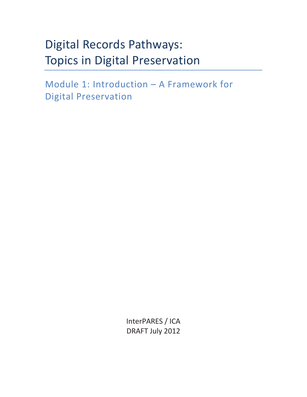# Digital Records Pathways: Topics in Digital Preservation

Module 1: Introduction – A Framework for Digital Preservation

> InterPARES / ICA DRAFT July 2012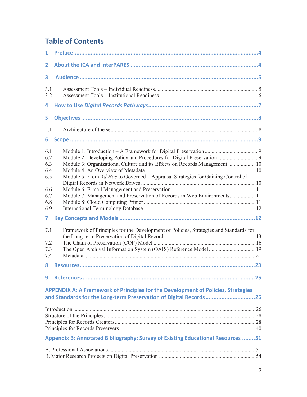## **Table of Contents**

| $\overline{1}$                                                                                    |                                                                                                                                                                                                                                                                                                                                   |  |  |  |
|---------------------------------------------------------------------------------------------------|-----------------------------------------------------------------------------------------------------------------------------------------------------------------------------------------------------------------------------------------------------------------------------------------------------------------------------------|--|--|--|
| 2                                                                                                 |                                                                                                                                                                                                                                                                                                                                   |  |  |  |
| 3                                                                                                 |                                                                                                                                                                                                                                                                                                                                   |  |  |  |
| 3.1<br>3.2                                                                                        |                                                                                                                                                                                                                                                                                                                                   |  |  |  |
| 4                                                                                                 |                                                                                                                                                                                                                                                                                                                                   |  |  |  |
| 5                                                                                                 |                                                                                                                                                                                                                                                                                                                                   |  |  |  |
| 5.1                                                                                               |                                                                                                                                                                                                                                                                                                                                   |  |  |  |
| 6                                                                                                 |                                                                                                                                                                                                                                                                                                                                   |  |  |  |
| 6.1<br>6.2<br>6.3<br>6.4<br>6.5<br>6.6<br>6.7<br>6.8<br>6.9<br>7<br>7.1<br>7.2<br>7.3<br>7.4<br>8 | Module 3: Organizational Culture and its Effects on Records Management  10<br>Module 5: From Ad Hoc to Governed - Appraisal Strategies for Gaining Control of<br>Module 7: Management and Preservation of Records in Web Environments 11<br>Framework of Principles for the Development of Policies, Strategies and Standards for |  |  |  |
| 9                                                                                                 |                                                                                                                                                                                                                                                                                                                                   |  |  |  |
|                                                                                                   | APPENDIX A: A Framework of Principles for the Development of Policies, Strategies<br>and Standards for the Long-term Preservation of Digital Records26                                                                                                                                                                            |  |  |  |
|                                                                                                   | Appendix B: Annotated Bibliography: Survey of Existing Educational Resources 51                                                                                                                                                                                                                                                   |  |  |  |
|                                                                                                   |                                                                                                                                                                                                                                                                                                                                   |  |  |  |
|                                                                                                   |                                                                                                                                                                                                                                                                                                                                   |  |  |  |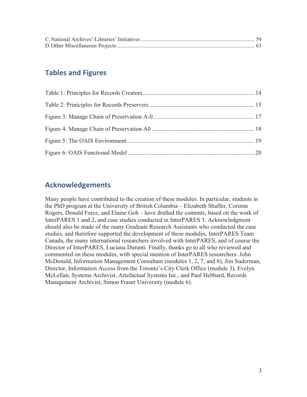## **Tables and Figures**

## **Acknowledgements**

Many people have contributed to the creation of these modules. In particular, students in the PhD program at the University of British Columbia – Elizabeth Shaffer, Corinne Rogers, Donald Force, and Elaine Goh – have drafted the contents, based on the work of InterPARES 1 and 2, and case studies conducted in InterPARES 3. Acknowledgment should also be made of the many Graduate Research Assistants who conducted the case studies, and therefore supported the development of these modules, InterPARES Team Canada, the many international researchers involved with InterPARES, and of course the Director of InterPARES, Luciana Duranti. Finally, thanks go to all who reviewed and commented on these modules, with special mention of InterPARES researchers: John McDonald, Information Management Consultant (modules 1, 2, 7, and 8), Jim Suderman, Director, Information Access from the Toronto's City Clerk Office (module 3), Evelyn McLellan, Systems Archivist, Artefactual Systems Inc., and Paul Hebbard, Records Management Archivist, Simon Fraser University (module 6).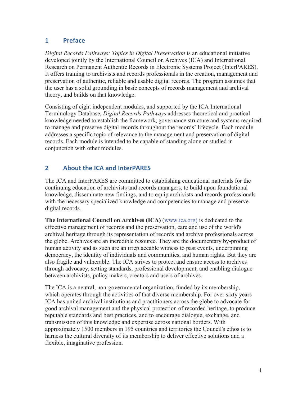## **1 Preface**

*Digital Records Pathways: Topics in Digital Preservation* is an educational initiative developed jointly by the International Council on Archives (ICA) and International Research on Permanent Authentic Records in Electronic Systems Project (InterPARES). It offers training to archivists and records professionals in the creation, management and preservation of authentic, reliable and usable digital records. The program assumes that the user has a solid grounding in basic concepts of records management and archival theory, and builds on that knowledge.

Consisting of eight independent modules, and supported by the ICA International Terminology Database, *Digital Records Pathways* addresses theoretical and practical knowledge needed to establish the framework, governance structure and systems required to manage and preserve digital records throughout the records' lifecycle. Each module addresses a specific topic of relevance to the management and preservation of digital records. Each module is intended to be capable of standing alone or studied in conjunction with other modules.

## **2 About the ICA and InterPARES**

The ICA and InterPARES are committed to establishing educational materials for the continuing education of archivists and records managers, to build upon foundational knowledge, disseminate new findings, and to equip archivists and records professionals with the necessary specialized knowledge and competencies to manage and preserve digital records.

**The International Council on Archives (ICA)** (www.ica.org) is dedicated to the effective management of records and the preservation, care and use of the world's archival heritage through its representation of records and archive professionals across the globe. Archives are an incredible resource. They are the documentary by-product of human activity and as such are an irreplaceable witness to past events, underpinning democracy, the identity of individuals and communities, and human rights. But they are also fragile and vulnerable. The ICA strives to protect and ensure access to archives through advocacy, setting standards, professional development, and enabling dialogue between archivists, policy makers, creators and users of archives.

The ICA is a neutral, non-governmental organization, funded by its membership, which operates through the activities of that diverse membership. For over sixty years ICA has united archival institutions and practitioners across the globe to advocate for good archival management and the physical protection of recorded heritage, to produce reputable standards and best practices, and to encourage dialogue, exchange, and transmission of this knowledge and expertise across national borders. With approximately 1500 members in 195 countries and territories the Council's ethos is to harness the cultural diversity of its membership to deliver effective solutions and a flexible, imaginative profession.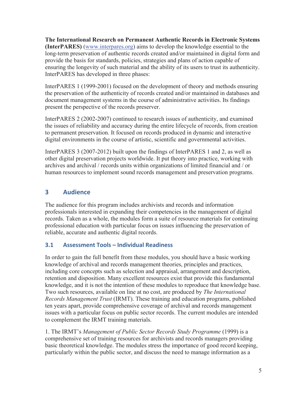**The International Research on Permanent Authentic Records in Electronic Systems (InterPARES)** (www.interpares.org) aims to develop the knowledge essential to the long-term preservation of authentic records created and/or maintained in digital form and provide the basis for standards, policies, strategies and plans of action capable of ensuring the longevity of such material and the ability of its users to trust its authenticity. InterPARES has developed in three phases:

InterPARES 1 (1999-2001) focused on the development of theory and methods ensuring the preservation of the authenticity of records created and/or maintained in databases and document management systems in the course of administrative activities. Its findings present the perspective of the records preserver.

InterPARES 2 (2002-2007) continued to research issues of authenticity, and examined the issues of reliability and accuracy during the entire lifecycle of records, from creation to permanent preservation. It focused on records produced in dynamic and interactive digital environments in the course of artistic, scientific and governmental activities.

InterPARES 3 (2007-2012) built upon the findings of InterPARES 1 and 2, as well as other digital preservation projects worldwide. It put theory into practice, working with archives and archival / records units within organizations of limited financial and / or human resources to implement sound records management and preservation programs.

## **3 Audience**

The audience for this program includes archivists and records and information professionals interested in expanding their competencies in the management of digital records. Taken as a whole, the modules form a suite of resource materials for continuing professional education with particular focus on issues influencing the preservation of reliable, accurate and authentic digital records.

## **3.1 Assessment Tools – Individual Readiness**

In order to gain the full benefit from these modules, you should have a basic working knowledge of archival and records management theories, principles and practices, including core concepts such as selection and appraisal, arrangement and description, retention and disposition. Many excellent resources exist that provide this fundamental knowledge, and it is not the intention of these modules to reproduce that knowledge base. Two such resources, available on line at no cost, are produced by *The International Records Management Trust* (IRMT). These training and education programs, published ten years apart, provide comprehensive coverage of archival and records management issues with a particular focus on public sector records. The current modules are intended to complement the IRMT training materials.

1. The IRMT's *Management of Public Sector Records Study Programme* (1999) is a comprehensive set of training resources for archivists and records managers providing basic theoretical knowledge. The modules stress the importance of good record keeping, particularly within the public sector, and discuss the need to manage information as a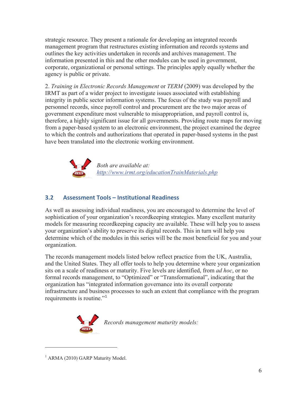strategic resource. They present a rationale for developing an integrated records management program that restructures existing information and records systems and outlines the key activities undertaken in records and archives management. The information presented in this and the other modules can be used in government, corporate, organizational or personal settings. The principles apply equally whether the agency is public or private.

2. *Training in Electronic Records Management* or *TERM* (2009) was developed by the IRMT as part of a wider project to investigate issues associated with establishing integrity in public sector information systems. The focus of the study was payroll and personnel records, since payroll control and procurement are the two major areas of government expenditure most vulnerable to misappropriation, and payroll control is, therefore, a highly significant issue for all governments. Providing route maps for moving from a paper-based system to an electronic environment, the project examined the degree to which the controls and authorizations that operated in paper-based systems in the past have been translated into the electronic working environment.



*Both are available at: http://www.irmt.org/educationTrainMaterials.php*

## **3.2 Assessment Tools – Institutional Readiness**

As well as assessing individual readiness, you are encouraged to determine the level of sophistication of your organization's recordkeeping strategies. Many excellent maturity models for measuring recordkeeping capacity are available. These will help you to assess your organization's ability to preserve its digital records. This in turn will help you determine which of the modules in this series will be the most beneficial for you and your organization.

The records management models listed below reflect practice from the UK, Australia, and the United States. They all offer tools to help you determine where your organization sits on a scale of readiness or maturity. Five levels are identified, from *ad hoc*, or no formal records management, to "Optimized" or "Transformational", indicating that the organization has "integrated information governance into its overall corporate infrastructure and business processes to such an extent that compliance with the program requirements is routine."<sup>1</sup>



<sup>1</sup> ARMA (2010) GARP Maturity Model.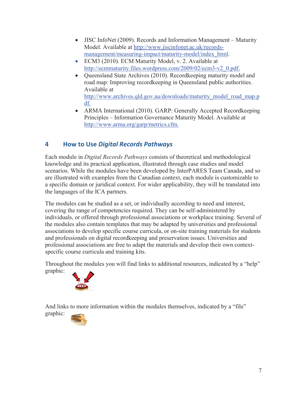- $\bullet$  JISC InfoNet (2009). Records and Information Management Maturity Model. Available at http://www.jiscinfonet.ac.uk/recordsmanagement/measuring-impact/maturity-model/index\_html.
- ECM3 (2010). ECM Maturity Model, v. 2. Available at http://ecmmaturity.files.wordpress.com/2009/02/ecm3-v2\_0.pdf.
- Queensland State Archives (2010). Record keeping maturity model and road map: Improving recordkeeping in Queensland public authorities. Available at http://www.archives.qld.gov.au/downloads/maturity\_model\_road\_map.p df.
- ARMA International (2010). GARP: Generally Accepted Recordkeeping Principles – Information Governance Maturity Model. Available at http://www.arma.org/garp/metrics.cfm.

## **4 How to Use** *Digital Records Pathways*

Each module in *Digital Records Pathways* consists of theoretical and methodological knowledge and its practical application, illustrated through case studies and model scenarios. While the modules have been developed by InterPARES Team Canada, and so are illustrated with examples from the Canadian context, each module is customizable to a specific domain or juridical context. For wider applicability, they will be translated into the languages of the ICA partners.

The modules can be studied as a set, or individually according to need and interest, covering the range of competencies required. They can be self-administered by individuals, or offered through professional associations or workplace training. Several of the modules also contain templates that may be adapted by universities and professional associations to develop specific course curricula, or on-site training materials for students and professionals on digital recordkeeping and preservation issues. Universities and professional associations are free to adapt the materials and develop their own contextspecific course curricula and training kits.

Throughout the modules you will find links to additional resources, indicated by a "help" graphic:



And links to more information within the modules themselves, indicated by a "file" graphic:

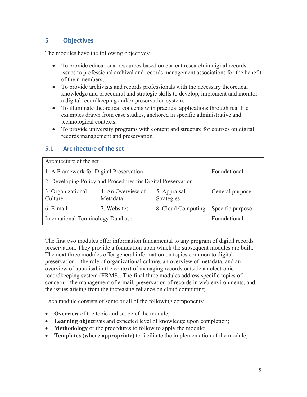## **5 Objectives**

The modules have the following objectives:

- To provide educational resources based on current research in digital records issues to professional archival and records management associations for the benefit of their members;
- To provide archivists and records professionals with the necessary theoretical knowledge and procedural and strategic skills to develop, implement and monitor a digital recordkeeping and/or preservation system;
- To illuminate theoretical concepts with practical applications through real life examples drawn from case studies, anchored in specific administrative and technological contexts;
- To provide university programs with content and structure for courses on digital records management and preservation.

#### **5.1 Architecture of the set**

| Architecture of the set                                      |                               |                            |                  |  |
|--------------------------------------------------------------|-------------------------------|----------------------------|------------------|--|
| 1. A Framework for Digital Preservation                      | Foundational                  |                            |                  |  |
| 2. Developing Policy and Procedures for Digital Preservation |                               |                            |                  |  |
| 3. Organizational<br>Culture                                 | 4. An Overview of<br>Metadata | 5. Appraisal<br>Strategies | General purpose  |  |
| 6. E-mail                                                    | 7. Websites                   | 8. Cloud Computing         | Specific purpose |  |
| <b>International Terminology Database</b>                    |                               |                            | Foundational     |  |

The first two modules offer information fundamental to any program of digital records preservation. They provide a foundation upon which the subsequent modules are built. The next three modules offer general information on topics common to digital preservation – the role of organizational culture, an overview of metadata, and an overview of appraisal in the context of managing records outside an electronic recordkeeping system (ERMS). The final three modules address specific topics of concern – the management of e-mail, preservation of records in web environments, and the issues arising from the increasing reliance on cloud computing.

Each module consists of some or all of the following components:

- **Overview** of the topic and scope of the module;
- x **Learning objectives** and expected level of knowledge upon completion;
- **Methodology** or the procedures to follow to apply the module;
- x **Templates (where appropriate)** to facilitate the implementation of the module;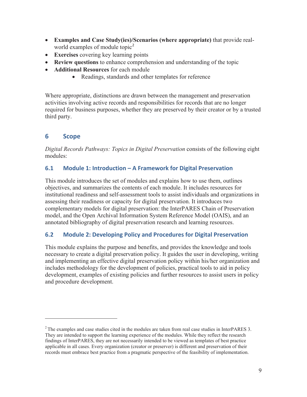- x **Examples and Case Study(ies)/Scenarios (where appropriate)** that provide realworld examples of module topic<sup>2</sup>
- Exercises covering key learning points
- **Review questions** to enhance comprehension and understanding of the topic
- x **Additional Resources** for each module
	- Readings, standards and other templates for reference

Where appropriate, distinctions are drawn between the management and preservation activities involving active records and responsibilities for records that are no longer required for business purposes, whether they are preserved by their creator or by a trusted third party.

## **6 Scope**

 $\overline{a}$ 

*Digital Records Pathways: Topics in Digital Preservation* consists of the following eight modules:

#### **6.1 Module 1: Introduction – A Framework for Digital Preservation**

This module introduces the set of modules and explains how to use them, outlines objectives, and summarizes the contents of each module. It includes resources for institutional readiness and self-assessment tools to assist individuals and organizations in assessing their readiness or capacity for digital preservation. It introduces two complementary models for digital preservation: the InterPARES Chain of Preservation model, and the Open Archival Information System Reference Model (OAIS), and an annotated bibliography of digital preservation research and learning resources.

#### **6.2 Module 2: Developing Policy and Procedures for Digital Preservation**

This module explains the purpose and benefits, and provides the knowledge and tools necessary to create a digital preservation policy. It guides the user in developing, writing and implementing an effective digital preservation policy within his/her organization and includes methodology for the development of policies, practical tools to aid in policy development, examples of existing policies and further resources to assist users in policy and procedure development.

 $2$ <sup>2</sup> The examples and case studies cited in the modules are taken from real case studies in InterPARES 3. They are intended to support the learning experience of the modules. While they reflect the research findings of InterPARES, they are not necessarily intended to be viewed as templates of best practice applicable in all cases. Every organization (creator or preserver) is different and preservation of their records must embrace best practice from a pragmatic perspective of the feasibility of implementation.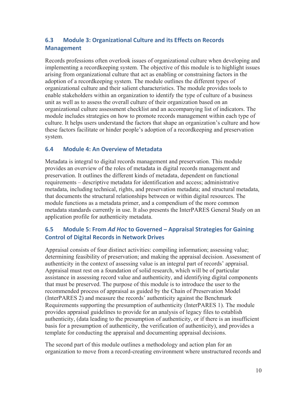## **6.3 Module 3: Organizational Culture and its Effects on Records Management**

Records professions often overlook issues of organizational culture when developing and implementing a recordkeeping system. The objective of this module is to highlight issues arising from organizational culture that act as enabling or constraining factors in the adoption of a recordkeeping system. The module outlines the different types of organizational culture and their salient characteristics. The module provides tools to enable stakeholders within an organization to identify the type of culture of a business unit as well as to assess the overall culture of their organization based on an organizational culture assessment checklist and an accompanying list of indicators. The module includes strategies on how to promote records management within each type of culture. It helps users understand the factors that shape an organization's culture and how these factors facilitate or hinder people's adoption of a recordkeeping and preservation system.

#### **6.4 Module 4: An Overview of Metadata**

Metadata is integral to digital records management and preservation. This module provides an overview of the roles of metadata in digital records management and preservation. It outlines the different kinds of metadata, dependent on functional requirements – descriptive metadata for identification and access; administrative metadata, including technical, rights, and preservation metadata; and structural metadata, that documents the structural relationships between or within digital resources. The module functions as a metadata primer, and a compendium of the more common metadata standards currently in use. It also presents the InterPARES General Study on an application profile for authenticity metadata.

## **6.5 Module 5: From** *Ad Hoc* **to Governed – Appraisal Strategies for Gaining Control of Digital Records in Network Drives**

Appraisal consists of four distinct activities: compiling information; assessing value; determining feasibility of preservation; and making the appraisal decision. Assessment of authenticity in the context of assessing value is an integral part of records' appraisal. Appraisal must rest on a foundation of solid research, which will be of particular assistance in assessing record value and authenticity, and identifying digital components that must be preserved. The purpose of this module is to introduce the user to the recommended process of appraisal as guided by the Chain of Preservation Model (InterPARES 2) and measure the records' authenticity against the Benchmark Requirements supporting the presumption of authenticity (InterPARES 1). The module provides appraisal guidelines to provide for an analysis of legacy files to establish authenticity, (data leading to the presumption of authenticity, or if there is an insufficient basis for a presumption of authenticity, the verification of authenticity), and provides a template for conducting the appraisal and documenting appraisal decisions.

The second part of this module outlines a methodology and action plan for an organization to move from a record-creating environment where unstructured records and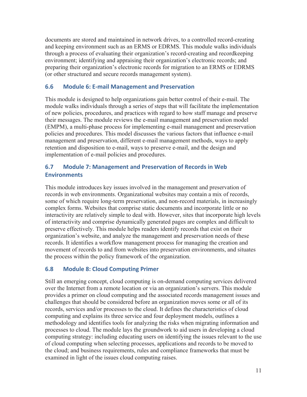documents are stored and maintained in network drives, to a controlled record-creating and keeping environment such as an ERMS or EDRMS. This module walks individuals through a process of evaluating their organization's record-creating and recordkeeping environment; identifying and appraising their organization's electronic records; and preparing their organization's electronic records for migration to an ERMS or EDRMS (or other structured and secure records management system).

#### **6.6 Module 6: E-mail Management and Preservation**

This module is designed to help organizations gain better control of their e-mail. The module walks individuals through a series of steps that will facilitate the implementation of new policies, procedures, and practices with regard to how staff manage and preserve their messages. The module reviews the e-mail management and preservation model (EMPM), a multi-phase process for implementing e-mail management and preservation policies and procedures. This model discusses the various factors that influence e-mail management and preservation, different e-mail management methods, ways to apply retention and disposition to e-mail, ways to preserve e-mail, and the design and implementation of e-mail policies and procedures.

#### **6.7 Module 7: Management and Preservation of Records in Web Environments**

This module introduces key issues involved in the management and preservation of records in web environments. Organizational websites may contain a mix of records, some of which require long-term preservation, and non-record materials, in increasingly complex forms. Websites that comprise static documents and incorporate little or no interactivity are relatively simple to deal with. However, sites that incorporate high levels of interactivity and comprise dynamically generated pages are complex and difficult to preserve effectively. This module helps readers identify records that exist on their organization's website, and analyze the management and preservation needs of these records. It identifies a workflow management process for managing the creation and movement of records to and from websites into preservation environments, and situates the process within the policy framework of the organization.

#### **6.8 Module 8: Cloud Computing Primer**

Still an emerging concept, cloud computing is on-demand computing services delivered over the Internet from a remote location or via an organization's servers. This module provides a primer on cloud computing and the associated records management issues and challenges that should be considered before an organization moves some or all of its records, services and/or processes to the cloud. It defines the characteristics of cloud computing and explains its three service and four deployment models, outlines a methodology and identifies tools for analyzing the risks when migrating information and processes to cloud. The module lays the groundwork to aid users in developing a cloud computing strategy: including educating users on identifying the issues relevant to the use of cloud computing when selecting processes, applications and records to be moved to the cloud; and business requirements, rules and compliance frameworks that must be examined in light of the issues cloud computing raises.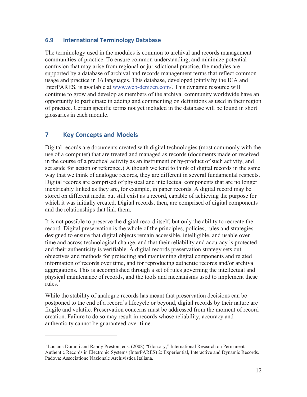#### **6.9 International Terminology Database**

The terminology used in the modules is common to archival and records management communities of practice. To ensure common understanding, and minimize potential confusion that may arise from regional or jurisdictional practice, the modules are supported by a database of archival and records management terms that reflect common usage and practice in 16 languages. This database, developed jointly by the ICA and InterPARES, is available at www.web-denizen.com/. This dynamic resource will continue to grow and develop as members of the archival community worldwide have an opportunity to participate in adding and commenting on definitions as used in their region of practice. Certain specific terms not yet included in the database will be found in short glossaries in each module.

#### **7 Key Concepts and Models**

 $\overline{a}$ 

Digital records are documents created with digital technologies (most commonly with the use of a computer) that are treated and managed as records (documents made or received in the course of a practical activity as an instrument or by-product of such activity, and set aside for action or reference.) Although we tend to think of digital records in the same way that we think of analogue records, they are different in several fundamental respects. Digital records are comprised of physical and intellectual components that are no longer inextricably linked as they are, for example, in paper records. A digital record may be stored on different media but still exist as a record, capable of achieving the purpose for which it was initially created. Digital records, then, are comprised of digital components and the relationships that link them.

It is not possible to preserve the digital record itself, but only the ability to recreate the record. Digital preservation is the whole of the principles, policies, rules and strategies designed to ensure that digital objects remain accessible, intelligible, and usable over time and across technological change, and that their reliability and accuracy is protected and their authenticity is verifiable. A digital records preservation strategy sets out objectives and methods for protecting and maintaining digital components and related information of records over time, and for reproducing authentic records and/or archival aggregations. This is accomplished through a set of rules governing the intellectual and physical maintenance of records, and the tools and mechanisms used to implement these rules $^3$ 

While the stability of analogue records has meant that preservation decisions can be postponed to the end of a record's lifecycle or beyond, digital records by their nature are fragile and volatile. Preservation concerns must be addressed from the moment of record creation. Failure to do so may result in records whose reliability, accuracy and authenticity cannot be guaranteed over time.

<sup>&</sup>lt;sup>3</sup> Luciana Duranti and Randy Preston, eds. (2008) "Glossary," International Research on Permanent Authentic Records in Electronic Systems (InterPARES) 2: Experiential, Interactive and Dynamic Records. Padova: Associatione Nazionale Archivistica Italiana.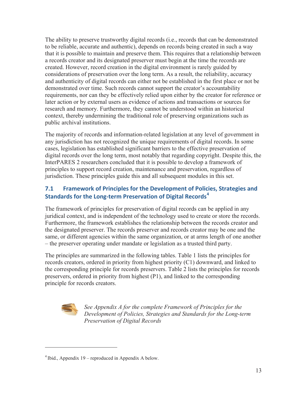The ability to preserve trustworthy digital records (i.e., records that can be demonstrated to be reliable, accurate and authentic), depends on records being created in such a way that it is possible to maintain and preserve them. This requires that a relationship between a records creator and its designated preserver must begin at the time the records are created. However, record creation in the digital environment is rarely guided by considerations of preservation over the long term. As a result, the reliability, accuracy and authenticity of digital records can either not be established in the first place or not be demonstrated over time. Such records cannot support the creator's accountability requirements, nor can they be effectively relied upon either by the creator for reference or later action or by external users as evidence of actions and transactions or sources for research and memory. Furthermore, they cannot be understood within an historical context, thereby undermining the traditional role of preserving organizations such as public archival institutions.

The majority of records and information-related legislation at any level of government in any jurisdiction has not recognized the unique requirements of digital records. In some cases, legislation has established significant barriers to the effective preservation of digital records over the long term, most notably that regarding copyright. Despite this, the InterPARES 2 researchers concluded that it is possible to develop a framework of principles to support record creation, maintenance and preservation, regardless of jurisdiction. These principles guide this and all subsequent modules in this set.

## **7.1 Framework of Principles for the Development of Policies, Strategies and Standards for the Long-term Preservation of Digital Records<sup>4</sup>**

The framework of principles for preservation of digital records can be applied in any juridical context, and is independent of the technology used to create or store the records. Furthermore, the framework establishes the relationship between the records creator and the designated preserver. The records preserver and records creator may be one and the same, or different agencies within the same organization, or at arms length of one another – the preserver operating under mandate or legislation as a trusted third party.

The principles are summarized in the following tables. Table 1 lists the principles for records creators, ordered in priority from highest priority (C1) downward, and linked to the corresponding principle for records preservers. Table 2 lists the principles for records preservers, ordered in priority from highest (P1), and linked to the corresponding principle for records creators.



*See Appendix A for the complete Framework of Principles for the Development of Policies, Strategies and Standards for the Long-term Preservation of Digital Records*

 $4$  Ibid., Appendix 19 – reproduced in Appendix A below.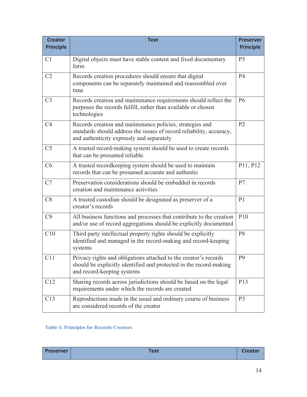| <b>Creator</b><br><b>Principle</b> | <b>Text</b>                                                                                                                                                                    | <b>Preserver</b><br><b>Principle</b> |
|------------------------------------|--------------------------------------------------------------------------------------------------------------------------------------------------------------------------------|--------------------------------------|
| C <sub>1</sub>                     | Digital objects must have stable content and fixed documentary<br>form                                                                                                         | P <sub>5</sub>                       |
| C2                                 | Records creation procedures should ensure that digital<br>components can be separately maintained and reassembled over<br>time                                                 | <b>P4</b>                            |
| C <sub>3</sub>                     | Records creation and maintenance requirements should reflect the<br>purposes the records fulfill, rather than available or chosen<br>technologies                              | <b>P6</b>                            |
| C <sub>4</sub>                     | Records creation and maintenance policies, strategies and<br>standards should address the issues of record reliability, accuracy,<br>and authenticity expressly and separately | P <sub>2</sub>                       |
| C <sub>5</sub>                     | A trusted record-making system should be used to create records<br>that can be presumed reliable                                                                               |                                      |
| C6                                 | A trusted recordkeeping system should be used to maintain<br>records that can be presumed accurate and authentic                                                               | P11, P12                             |
| C7                                 | Preservation considerations should be embedded in records<br>creation and maintenance activities                                                                               | P7                                   |
| C8                                 | A trusted custodian should be designated as preserver of a<br>creator's records                                                                                                | P <sub>1</sub>                       |
| C9                                 | All business functions and processes that contribute to the creation<br>and/or use of record aggregations should be explicitly documented                                      | P <sub>10</sub>                      |
| C10                                | Third party intellectual property rights should be explicitly<br>identified and managed in the record-making and record-keeping<br>systems                                     | P <sub>8</sub>                       |
| C11                                | Privacy rights and obligations attached to the creator's records<br>should be explicitly identified and protected in the record-making<br>and record-keeping systems           | P <sub>9</sub>                       |
| C12                                | Sharing records across jurisdictions should be based on the legal<br>requirements under which the records are created                                                          | P13                                  |
| C13                                | Reproductions made in the usual and ordinary course of business<br>are considered records of the creator                                                                       | P <sub>3</sub>                       |

#### **Table 1: Principles for Records Creators**

| <b>Preserver</b> | <b>Text</b> | <b>Creator</b> |
|------------------|-------------|----------------|
|                  |             |                |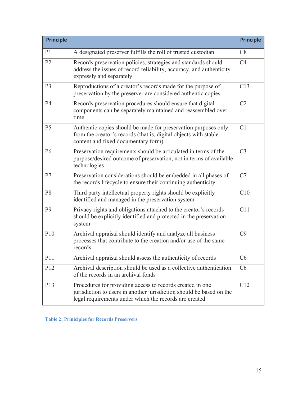| <b>Principle</b> |                                                                                                                                                                                             | <b>Principle</b> |
|------------------|---------------------------------------------------------------------------------------------------------------------------------------------------------------------------------------------|------------------|
| P <sub>1</sub>   | A designated preserver fulfills the roll of trusted custodian                                                                                                                               | C8               |
| P <sub>2</sub>   | Records preservation policies, strategies and standards should<br>address the issues of record reliability, accuracy, and authenticity<br>expressly and separately                          | C <sub>4</sub>   |
| P <sub>3</sub>   | Reproductions of a creator's records made for the purpose of<br>preservation by the preserver are considered authentic copies                                                               | C13              |
| <b>P4</b>        | Records preservation procedures should ensure that digital<br>components can be separately maintained and reassembled over<br>time                                                          | C <sub>2</sub>   |
| P <sub>5</sub>   | Authentic copies should be made for preservation purposes only<br>from the creator's records (that is, digital objects with stable<br>content and fixed documentary form)                   | C1               |
| <b>P6</b>        | Preservation requirements should be articulated in terms of the<br>purpose/desired outcome of preservation, not in terms of available<br>technologies                                       | C <sub>3</sub>   |
| P7               | Preservation considerations should be embedded in all phases of<br>the records lifecycle to ensure their continuing authenticity                                                            | C7               |
| P <sub>8</sub>   | Third party intellectual property rights should be explicitly<br>identified and managed in the preservation system                                                                          | C10              |
| P <sub>9</sub>   | Privacy rights and obligations attached to the creator's records<br>should be explicitly identified and protected in the preservation<br>system                                             | C11              |
| P10              | Archival appraisal should identify and analyze all business<br>processes that contribute to the creation and/or use of the same<br>records                                                  | C9               |
| P <sub>11</sub>  | Archival appraisal should assess the authenticity of records                                                                                                                                | C <sub>6</sub>   |
| P <sub>12</sub>  | Archival description should be used as a collective authentication<br>of the records in an archival fonds                                                                                   | C6               |
| P <sub>13</sub>  | Procedures for providing access to records created in one<br>jurisdiction to users in another jurisdiction should be based on the<br>legal requirements under which the records are created | C12              |

**Table 2: Priniciples for Records Preservers**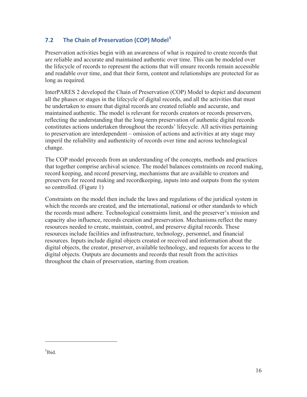## **7.2 The Chain of Preservation (COP) Model<sup>5</sup>**

Preservation activities begin with an awareness of what is required to create records that are reliable and accurate and maintained authentic over time. This can be modeled over the lifecycle of records to represent the actions that will ensure records remain accessible and readable over time, and that their form, content and relationships are protected for as long as required.

InterPARES 2 developed the Chain of Preservation (COP) Model to depict and document all the phases or stages in the lifecycle of digital records, and all the activities that must be undertaken to ensure that digital records are created reliable and accurate, and maintained authentic. The model is relevant for records creators or records preservers, reflecting the understanding that the long-term preservation of authentic digital records constitutes actions undertaken throughout the records' lifecycle. All activities pertaining to preservation are interdependent – omission of actions and activities at any stage may imperil the reliability and authenticity of records over time and across technological change.

The COP model proceeds from an understanding of the concepts, methods and practices that together comprise archival science. The model balances constraints on record making, record keeping, and record preserving, mechanisms that are available to creators and preservers for record making and recordkeeping, inputs into and outputs from the system so controlled. (Figure 1)

Constraints on the model then include the laws and regulations of the juridical system in which the records are created, and the international, national or other standards to which the records must adhere. Technological constraints limit, and the preserver's mission and capacity also influence, records creation and preservation. Mechanisms reflect the many resources needed to create, maintain, control, and preserve digital records. These resources include facilities and infrastructure, technology, personnel, and financial resources. Inputs include digital objects created or received and information about the digital objects, the creator, preserver, available technology, and requests for access to the digital objects. Outputs are documents and records that result from the activities throughout the chain of preservation, starting from creation.

<sup>5</sup>Ibid.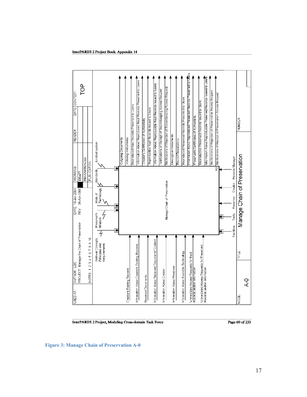

InterPARES 2 Project, Modeling Cross-domain Task Force

Page 69 of 233

**Figure 3: Manage Chain of Preservation A-0**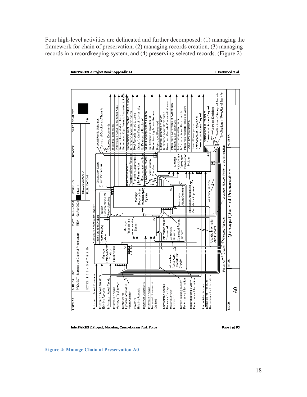Four high-level activities are delineated and further decomposed: (1) managing the framework for chain of preservation, (2) managing records creation, (3) managing records in a recordkeeping system, and (4) preserving selected records. (Figure 2)



InterPARES 2 Project, Modeling Cross-domain Task Force

Page  $2$  of 95

**Figure 4: Manage Chain of Preservation A0** 

18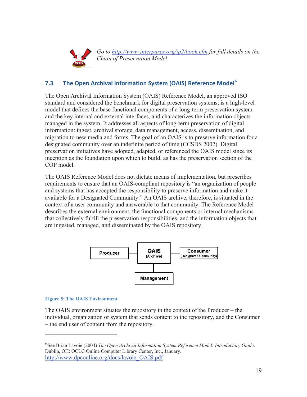

*Go to http://www.interpares.org/ip2/book.cfm for full details on the Chain of Preservation Model* 

## **7.3 The Open Archival Information System (OAIS) Reference Model<sup>6</sup>**

The Open Archival Information System (OAIS) Reference Model, an approved ISO standard and considered the benchmark for digital preservation systems, is a high-level model that defines the base functional components of a long-term preservation system and the key internal and external interfaces, and characterizes the information objects managed in the system. It addresses all aspects of long-term preservation of digital information: ingest, archival storage, data management, access, dissemination, and migration to new media and forms. The goal of an OAIS is to preserve information for a designated community over an indefinite period of time (CCSDS 2002). Digital preservation initiatives have adopted, adapted, or referenced the OAIS model since its inception as the foundation upon which to build, as has the preservation section of the COP model.

The OAIS Reference Model does not dictate means of implementation, but prescribes requirements to ensure that an OAIS-compliant repository is "an organization of people and systems that has accepted the responsibility to preserve information and make it available for a Designated Community." An OAIS archive, therefore, is situated in the context of a user community and answerable to that community. The Reference Model describes the external environment, the functional components or internal mechanisms that collectively fulfill the preservation responsibilities, and the information objects that are ingested, managed, and disseminated by the OAIS repository.



#### **Figure 5: The OAIS Environment**

The OAIS environment situates the repository in the context of the Producer – the individual, organization or system that sends content to the repository, and the Consumer – the end user of content from the repository.

<sup>6</sup> See Brian Lavoie (2004) *The Open Archival Information System Reference Model: Introductory Guide*. Dublin, OH: OCLC Online Computer Library Center, Inc., January. http://www.dpconline.org/docs/lavoie\_OAIS.pdf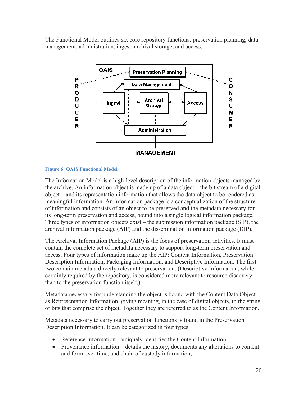The Functional Model outlines six core repository functions: preservation planning, data management, administration, ingest, archival storage, and access.



#### **Figure 6: OAIS Functional Model**

The Information Model is a high-level description of the information objects managed by the archive. An information object is made up of a data object – the bit stream of a digital object – and its representation information that allows the data object to be rendered as meaningful information. An information package is a conceptualization of the structure of information and consists of an object to be preserved and the metadata necessary for its long-term preservation and access, bound into a single logical information package. Three types of information objects exist – the submission information package (SIP), the archival information package (AIP) and the dissemination information package (DIP).

The Archival Information Package (AIP) is the focus of preservation activities. It must contain the complete set of metadata necessary to support long-term preservation and access. Four types of information make up the AIP: Content Information, Preservation Description Information, Packaging Information, and Descriptive Information. The first two contain metadata directly relevant to preservation. (Descriptive Information, while certainly required by the repository, is considered more relevant to resource discovery than to the preservation function itself.)

Metadata necessary for understanding the object is bound with the Content Data Object as Representation Information, giving meaning, in the case of digital objects, to the string of bits that comprise the object. Together they are referred to as the Content Information.

Metadata necessary to carry out preservation functions is found in the Preservation Description Information. It can be categorized in four types:

- $\bullet$  Reference information uniquely identifies the Content Information,
- Provenance information  $-\theta$  details the history, documents any alterations to content and form over time, and chain of custody information,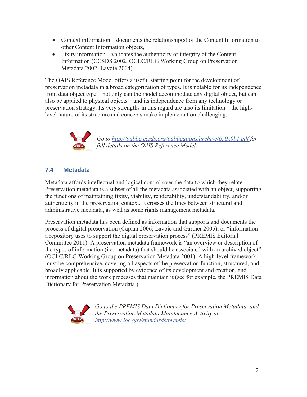- Context information documents the relationship(s) of the Content Information to other Content Information objects,
- $\bullet$  Fixity information validates the authenticity or integrity of the Content Information (CCSDS 2002; OCLC/RLG Working Group on Preservation Metadata 2002; Lavoie 2004)

The OAIS Reference Model offers a useful starting point for the development of preservation metadata in a broad categorization of types. It is notable for its independence from data object type – not only can the model accommodate any digital object, but can also be applied to physical objects – and its independence from any technology or preservation strategy. Its very strengths in this regard are also its limitation – the highlevel nature of its structure and concepts make implementation challenging.



## **7.4 Metadata**

Metadata affords intellectual and logical control over the data to which they relate. Preservation metadata is a subset of all the metadata associated with an object, supporting the functions of maintaining fixity, viability, renderability, understandability, and/or authenticity in the preservation context. It crosses the lines between structural and administrative metadata, as well as some rights management metadata.

Preservation metadata has been defined as information that supports and documents the process of digital preservation (Caplan 2006; Lavoie and Gartner 2005), or "information a repository uses to support the digital preservation process" (PREMIS Editorial Committee 2011). A preservation metadata framework is "an overview or description of the types of information (i.e. metadata) that should be associated with an archived object" (OCLC/RLG Working Group on Preservation Metadata 2001). A high-level framework must be comprehensive, covering all aspects of the preservation function, structured, and broadly applicable. It is supported by evidence of its development and creation, and information about the work processes that maintain it (see for example, the PREMIS Data Dictionary for Preservation Metadata.)



*Go to the PREMIS Data Dictionary for Preservation Metadata, and the Preservation Metadata Maintenance Activity at http://www.loc.gov/standards/premis/*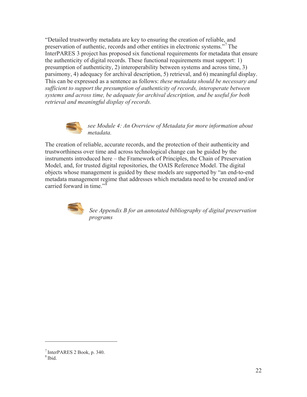"Detailed trustworthy metadata are key to ensuring the creation of reliable, and preservation of authentic, records and other entities in electronic systems."7 The InterPARES 3 project has proposed six functional requirements for metadata that ensure the authenticity of digital records. These functional requirements must support: 1) presumption of authenticity, 2) interoperability between systems and across time, 3) parsimony, 4) adequacy for archival description, 5) retrieval, and 6) meaningful display. This can be expressed as a sentence as follows: *these metadata should be necessary and sufficient to support the presumption of authenticity of records, interoperate between systems and across time, be adequate for archival description, and be useful for both retrieval and meaningful display of records.* 



*see Module 4: An Overview of Metadata for more information about metadata.*

The creation of reliable, accurate records, and the protection of their authenticity and trustworthiness over time and across technological change can be guided by the instruments introduced here – the Framework of Principles, the Chain of Preservation Model, and, for trusted digital repositories, the OAIS Reference Model. The digital objects whose management is guided by these models are supported by "an end-to-end metadata management regime that addresses which metadata need to be created and/or carried forward in time."<sup>8</sup>



*See Appendix B for an annotated bibliography of digital preservation programs* 

<sup>7</sup> InterPARES 2 Book, p. 340.

<sup>8</sup> Ibid.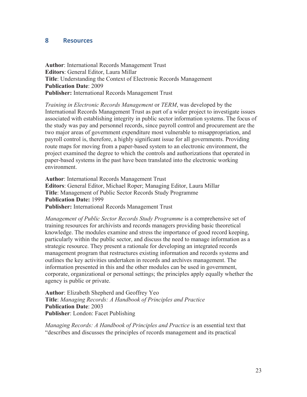#### **8 Resources**

**Author**: International Records Management Trust **Editors**: General Editor, Laura Millar **Title**: Understanding the Context of Electronic Records Management **Publication Date**: 2009 **Publisher:** International Records Management Trust

*Training in Electronic Records Management* or *TERM*, was developed by the International Records Management Trust as part of a wider project to investigate issues associated with establishing integrity in public sector information systems. The focus of the study was pay and personnel records, since payroll control and procurement are the two major areas of government expenditure most vulnerable to misappropriation, and payroll control is, therefore, a highly significant issue for all governments. Providing route maps for moving from a paper-based system to an electronic environment, the project examined the degree to which the controls and authorizations that operated in paper-based systems in the past have been translated into the electronic working environment.

**Author**: International Records Management Trust **Editors**: General Editor, Michael Roper; Managing Editor, Laura Millar **Title**: Management of Public Sector Records Study Programme **Publication Date:** 1999 **Publisher:** International Records Management Trust

*Management of Public Sector Records Study Programme* is a comprehensive set of training resources for archivists and records managers providing basic theoretical knowledge. The modules examine and stress the importance of good record keeping, particularly within the public sector, and discuss the need to manage information as a strategic resource. They present a rationale for developing an integrated records management program that restructures existing information and records systems and outlines the key activities undertaken in records and archives management. The information presented in this and the other modules can be used in government, corporate, organizational or personal settings; the principles apply equally whether the agency is public or private.

**Author**: Elizabeth Shepherd and Geoffrey Yeo **Title**: *Managing Records: A Handbook of Principles and Practice* **Publication Date**: 2003 **Publisher**: London: Facet Publishing

*Managing Records: A Handbook of Principles and Practice* is an essential text that "describes and discusses the principles of records management and its practical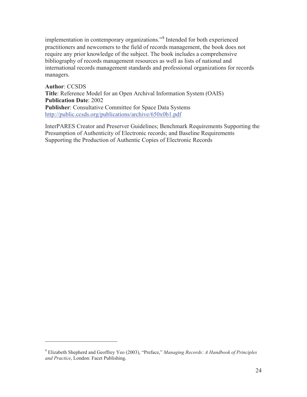implementation in contemporary organizations."<sup>9</sup> Intended for both experienced practitioners and newcomers to the field of records management, the book does not require any prior knowledge of the subject. The book includes a comprehensive bibliography of records management resources as well as lists of national and international records management standards and professional organizations for records managers.

**Author**: CCSDS **Title**: Reference Model for an Open Archival Information System (OAIS) **Publication Date**: 2002 **Publisher**: Consultative Committee for Space Data Systems http://public.ccsds.org/publications/archive/650x0b1.pdf

InterPARES Creator and Preserver Guidelines; Benchmark Requirements Supporting the Presumption of Authenticity of Electronic records; and Baseline Requirements Supporting the Production of Authentic Copies of Electronic Records

<sup>9</sup> Elizabeth Shepherd and Geoffrey Yeo (2003), "Preface," *Managing Records: A Handbook of Principles and Practice*, London: Facet Publishing.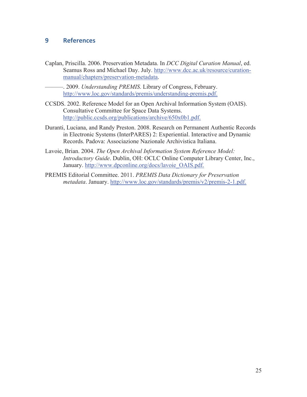#### **9 References**

Caplan, Priscilla. 2006. Preservation Metadata. In *DCC Digital Curation Manual*, ed. Seamus Ross and Michael Day. July. http://www.dcc.ac.uk/resource/curationmanual/chapters/preservation-metadata.

———. 2009. *Understanding PREMIS*. Library of Congress, February. http://www.loc.gov/standards/premis/understanding-premis.pdf.

- CCSDS. 2002. Reference Model for an Open Archival Information System (OAIS). Consultative Committee for Space Data Systems. http://public.ccsds.org/publications/archive/650x0b1.pdf.
- Duranti, Luciana, and Randy Preston. 2008. Research on Permanent Authentic Records in Electronic Systems (InterPARES) 2: Experiential. Interactive and Dynamic Records. Padova: Associazione Nazionale Archivistica Italiana.
- Lavoie, Brian. 2004. *The Open Archival Information System Reference Model: Introductory Guide*. Dublin, OH: OCLC Online Computer Library Center, Inc., January. http://www.dpconline.org/docs/lavoie\_OAIS.pdf.
- PREMIS Editorial Committee. 2011. *PREMIS Data Dictionary for Preservation metadata*. January. http://www.loc.gov/standards/premis/v2/premis-2-1.pdf.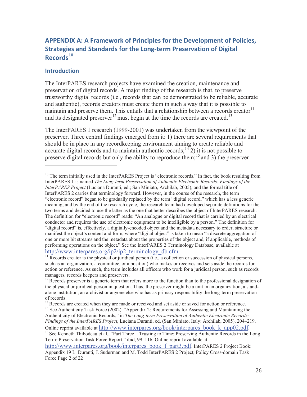## **APPENDIX A: A Framework of Principles for the Development of Policies, Strategies and Standards for the Long-term Preservation of Digital Records<sup>10</sup>**

#### **Introduction**

 $\overline{a}$ 

The InterPARES research projects have examined the creation, maintenance and preservation of digital records. A major finding of the research is that, to preserve trustworthy digital records (i.e., records that can be demonstrated to be reliable, accurate and authentic), records creators must create them in such a way that it is possible to maintain and preserve them. This entails that a relationship between a records creator $11$ and its designated preserver<sup>12</sup> must begin at the time the records are created.<sup>13</sup>

The InterPARES 1 research (1999-2001) was undertaken from the viewpoint of the preserver. Three central findings emerged from it: 1) there are several requirements that should be in place in any recordkeeping environment aiming to create reliable and accurate digital records and to maintain authentic records;<sup>14</sup> $2$ ) it is not possible to preserve digital records but only the ability to reproduce them;<sup>15</sup> and 3) the preserver

 $\frac{http://www.interparse.org/ip2/ip2-terminology_db.cfm. 11}$ <br><sup>11</sup> Records creator is the physical or juridical person (i.e., a collection or succession of physical persons,

 $10$  The term initially used in the InterPARES Project is "electronic records." In fact, the book resulting from InterPARES 1 is named *The Long-term Preservation of Authentic Electronic Records: Findings of the InterPARES Project* (Luciana Duranti, ed.; San Miniato, Archilab, 2005), and the formal title of InterPARES 2 carries that terminology forward. However, in the course of the research, the term "electronic record" began to be gradually replaced by the term "digital record," which has a less generic meaning, and by the end of the research cycle, the research team had developed separate definitions for the two terms and decided to use the latter as the one that better describes the object of InterPARES research. The definition for "electronic record" reads: "An analogue or digital record that is carried by an electrical conductor and requires the use of electronic equipment to be intelligible by a person." The definition for "digital record" is, effectively, a digitally-encoded object and the metadata necessary to order, structure or manifest the object's content and form, where "digital object" is taken to mean "a discrete aggregation of one or more bit streams and the metadata about the properties of the object and, if applicable, methods of performing operations on the object." See the InterPARES 2 Terminology Database, available at

such as an organization, a committee, or a position) who makes or receives and sets aside the records for action or reference. As such, the term includes all officers who work for a juridical person, such as records managers, records keepers and preservers.

<sup>&</sup>lt;sup>12</sup> Records preserver is a generic term that refers more to the function than to the professional designation of the physical or juridical person in question. Thus, the preserver might be a unit in an organization, a standalone institution, an archivist or anyone else who has as primary responsibility the long-term preservation of records.

<sup>&</sup>lt;sup>13</sup> Records are created when they are made or received and set aside or saved for action or reference.<br><sup>14</sup> See Authenticity Task Force (2002). "Appendix 2: Requirements for Assessing and Maintaining the Authenticity of Electronic Records," in *The Long-term Preservation of Authentic Electronic Records: Findings of the InterPARES Project*, Luciana Duranti, ed. (San Miniato, Italy: Archilab, 2005), 204–219. Online reprint available at http://www.interpares.org/book/interpares\_book\_k\_app02.pdf. 15 See Kenneth Thibodeau et al., "Part Three – Trusting to Time: Preserving Authentic Records in the Long

Term: Preservation Task Force Report," ibid, 99–116. Online reprint available at

http://www.interpares.org/book/interpares\_book\_f\_part3.pdf. InterPARES 2 Project Book: Appendix 19 L. Duranti, J. Suderman and M. Todd InterPARES 2 Project, Policy Cross-domain Task Force Page 2 of 22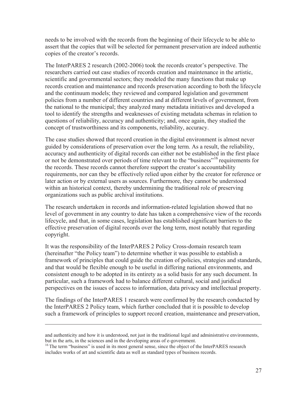needs to be involved with the records from the beginning of their lifecycle to be able to assert that the copies that will be selected for permanent preservation are indeed authentic copies of the creator's records.

The InterPARES 2 research (2002-2006) took the records creator's perspective. The researchers carried out case studies of records creation and maintenance in the artistic, scientific and governmental sectors; they modeled the many functions that make up records creation and maintenance and records preservation according to both the lifecycle and the continuum models; they reviewed and compared legislation and government policies from a number of different countries and at different levels of government, from the national to the municipal; they analyzed many metadata initiatives and developed a tool to identify the strengths and weaknesses of existing metadata schemas in relation to questions of reliability, accuracy and authenticity; and, once again, they studied the concept of trustworthiness and its components, reliability, accuracy.

The case studies showed that record creation in the digital environment is almost never guided by considerations of preservation over the long term. As a result, the reliability, accuracy and authenticity of digital records can either not be established in the first place or not be demonstrated over periods of time relevant to the "business"16 requirements for the records. These records cannot therefore support the creator's accountability requirements, nor can they be effectively relied upon either by the creator for reference or later action or by external users as sources. Furthermore, they cannot be understood within an historical context, thereby undermining the traditional role of preserving organizations such as public archival institutions.

The research undertaken in records and information-related legislation showed that no level of government in any country to date has taken a comprehensive view of the records lifecycle, and that, in some cases, legislation has established significant barriers to the effective preservation of digital records over the long term, most notably that regarding copyright.

It was the responsibility of the InterPARES 2 Policy Cross-domain research team (hereinafter "the Policy team") to determine whether it was possible to establish a framework of principles that could guide the creation of policies, strategies and standards, and that would be flexible enough to be useful in differing national environments, and consistent enough to be adopted in its entirety as a solid basis for any such document. In particular, such a framework had to balance different cultural, social and juridical perspectives on the issues of access to information, data privacy and intellectual property.

The findings of the InterPARES 1 research were confirmed by the research conducted by the InterPARES 2 Policy team, which further concluded that it is possible to develop such a framework of principles to support record creation, maintenance and preservation,

-

and authenticity and how it is understood, not just in the traditional legal and administrative environments, but in the arts, in the sciences and in the developing areas of e-government.

<sup>&</sup>lt;sup>16</sup> The term "business" is used in its most general sense, since the object of the InterPARES research includes works of art and scientific data as well as standard types of business records.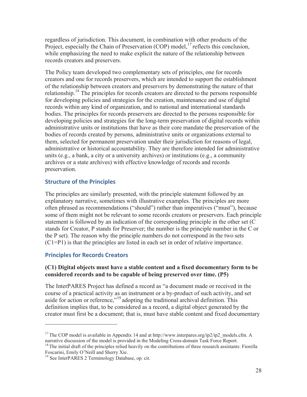regardless of jurisdiction. This document, in combination with other products of the Project, especially the Chain of Preservation  $(COP)$  model,  $^{17}$  reflects this conclusion, while emphasizing the need to make explicit the nature of the relationship between records creators and preservers.

The Policy team developed two complementary sets of principles, one for records creators and one for records preservers, which are intended to support the establishment of the relationship between creators and preservers by demonstrating the nature of that relationship.<sup>18</sup> The principles for records creators are directed to the persons responsible for developing policies and strategies for the creation, maintenance and use of digital records within any kind of organization, and to national and international standards bodies. The principles for records preservers are directed to the persons responsible for developing policies and strategies for the long-term preservation of digital records within administrative units or institutions that have as their core mandate the preservation of the bodies of records created by persons, administrative units or organizations external to them, selected for permanent preservation under their jurisdiction for reasons of legal, administrative or historical accountability. They are therefore intended for administrative units (e.g., a bank, a city or a university archives) or institutions (e.g., a community archives or a state archives) with effective knowledge of records and records preservation.

#### **Structure of the Principles**

The principles are similarly presented, with the principle statement followed by an explanatory narrative, sometimes with illustrative examples. The principles are more often phrased as recommendations ("should") rather than imperatives ("must"), because some of them might not be relevant to some records creators or preservers. Each principle statement is followed by an indication of the corresponding principle in the other set (C stands for Creator, P stands for Preserver; the number is the principle number in the C or the P set). The reason why the principle numbers do not correspond in the two sets (C1=P1) is that the principles are listed in each set in order of relative importance.

#### **Principles for Records Creators**

 $\overline{a}$ 

#### **(C1) Digital objects must have a stable content and a fixed documentary form to be considered records and to be capable of being preserved over time. (P5)**

The InterPARES Project has defined a record as "a document made or received in the course of a practical activity as an instrument or a by-product of such activity, and set aside for action or reference,"19 adopting the traditional archival definition. This definition implies that, to be considered as a record, a digital object generated by the creator must first be a document; that is, must have stable content and fixed documentary

<sup>&</sup>lt;sup>17</sup> The COP model is available in Appendix 14 and at http://www.interpares.org/ip2/ip2\_models.cfm. A narrative discussion of the model is provided in the Modeling Cross-domain Task Force Report.

 $18$  The initial draft of the principles relied heavily on the contributions of three research assistants: Fiorella Foscarini, Emily O'Neill and Sherry Xie.

<sup>19</sup> See InterPARES 2 Terminology Database, op. cit.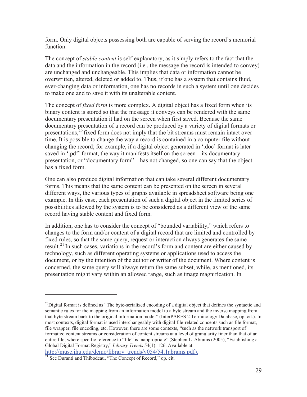form. Only digital objects possessing both are capable of serving the record's memorial function.

The concept of *stable content* is self-explanatory, as it simply refers to the fact that the data and the information in the record (i.e., the message the record is intended to convey) are unchanged and unchangeable. This implies that data or information cannot be overwritten, altered, deleted or added to. Thus, if one has a system that contains fluid, ever-changing data or information, one has no records in such a system until one decides to make one and to save it with its unalterable content.

The concept of *fixed form* is more complex. A digital object has a fixed form when its binary content is stored so that the message it conveys can be rendered with the same documentary presentation it had on the screen when first saved. Because the same documentary presentation of a record can be produced by a variety of digital formats or presentations,20 fixed form does not imply that the bit streams must remain intact over time. It is possible to change the way a record is contained in a computer file without changing the record; for example, if a digital object generated in '.doc' format is later saved in '.pdf' format, the way it manifests itself on the screen—its documentary presentation, or "documentary form"—has not changed, so one can say that the object has a fixed form.

One can also produce digital information that can take several different documentary forms. This means that the same content can be presented on the screen in several different ways, the various types of graphs available in spreadsheet software being one example. In this case, each presentation of such a digital object in the limited series of possibilities allowed by the system is to be considered as a different view of the same record having stable content and fixed form.

In addition, one has to consider the concept of "bounded variability," which refers to changes to the form and/or content of a digital record that are limited and controlled by fixed rules, so that the same query, request or interaction always generates the same result.<sup>21</sup> In such cases, variations in the record's form and content are either caused by technology, such as different operating systems or applications used to access the document, or by the intention of the author or writer of the document. Where content is concerned, the same query will always return the same subset, while, as mentioned, its presentation might vary within an allowed range, such as image magnification. In

 $^{20}$ Digital format is defined as "The byte-serialized encoding of a digital object that defines the syntactic and semantic rules for the mapping from an information model to a byte stream and the inverse mapping from that byte stream back to the original information model" (InterPARES 2 Terminology Database, op. cit.). In most contexts, digital format is used interchangeably with digital file-related concepts such as file format, file wrapper, file encoding, etc. However, there are some contexts, "such as the network transport of formatted content streams or consideration of content streams at a level of granularity finer than that of an entire file, where specific reference to "file" is inappropriate" (Stephen L. Abrams (2005), "Establishing a Global Digital Format Registry," *Library Trends* 54(1): 126. Available at

http://muse.jhu.edu/demo/library\_trends/v054/54.1abrams.pdf).

<sup>&</sup>lt;sup>21</sup> See Duranti and Thibodeau, "The Concept of Record," op. cit.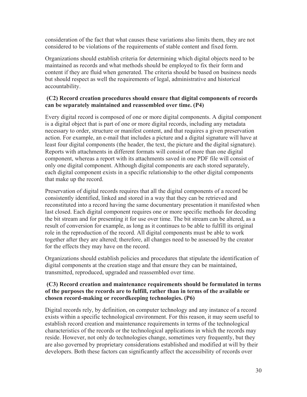consideration of the fact that what causes these variations also limits them, they are not considered to be violations of the requirements of stable content and fixed form.

Organizations should establish criteria for determining which digital objects need to be maintained as records and what methods should be employed to fix their form and content if they are fluid when generated. The criteria should be based on business needs but should respect as well the requirements of legal, administrative and historical accountability.

#### **(C2) Record creation procedures should ensure that digital components of records can be separately maintained and reassembled over time. (P4)**

Every digital record is composed of one or more digital components. A digital component is a digital object that is part of one or more digital records, including any metadata necessary to order, structure or manifest content, and that requires a given preservation action. For example, an e-mail that includes a picture and a digital signature will have at least four digital components (the header, the text, the picture and the digital signature). Reports with attachments in different formats will consist of more than one digital component, whereas a report with its attachments saved in one PDF file will consist of only one digital component. Although digital components are each stored separately, each digital component exists in a specific relationship to the other digital components that make up the record.

Preservation of digital records requires that all the digital components of a record be consistently identified, linked and stored in a way that they can be retrieved and reconstituted into a record having the same documentary presentation it manifested when last closed. Each digital component requires one or more specific methods for decoding the bit stream and for presenting it for use over time. The bit stream can be altered, as a result of conversion for example, as long as it continues to be able to fulfill its original role in the reproduction of the record. All digital components must be able to work together after they are altered; therefore, all changes need to be assessed by the creator for the effects they may have on the record.

Organizations should establish policies and procedures that stipulate the identification of digital components at the creation stage and that ensure they can be maintained, transmitted, reproduced, upgraded and reassembled over time.

#### **(C3) Record creation and maintenance requirements should be formulated in terms of the purposes the records are to fulfill, rather than in terms of the available or chosen record-making or recordkeeping technologies. (P6)**

Digital records rely, by definition, on computer technology and any instance of a record exists within a specific technological environment. For this reason, it may seem useful to establish record creation and maintenance requirements in terms of the technological characteristics of the records or the technological applications in which the records may reside. However, not only do technologies change, sometimes very frequently, but they are also governed by proprietary considerations established and modified at will by their developers. Both these factors can significantly affect the accessibility of records over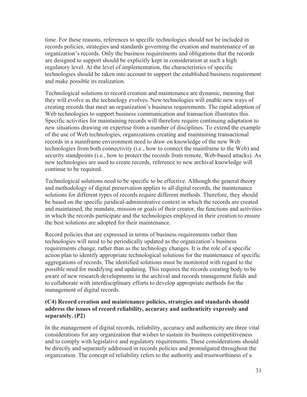time. For these reasons, references to specific technologies should not be included in records policies, strategies and standards governing the creation and maintenance of an organization's records. Only the business requirements and obligations that the records are designed to support should be explicitly kept in consideration at such a high regulatory level. At the level of implementation, the characteristics of specific technologies should be taken into account to support the established business requirement and make possible its realization.

Technological solutions to record creation and maintenance are dynamic, meaning that they will evolve as the technology evolves. New technologies will enable new ways of creating records that meet an organization's business requirements. The rapid adoption of Web technologies to support business communication and transaction illustrates this. Specific activities for maintaining records will therefore require continuing adaptation to new situations drawing on expertise from a number of disciplines. To extend the example of the use of Web technologies, organizations creating and maintaining transactional records in a mainframe environment need to draw on knowledge of the new Web technologies from both connectivity (i.e., how to connect the mainframe to the Web) and security standpoints (i.e., how to protect the records from remote, Web-based attacks). As new technologies are used to create records, reference to new archival knowledge will continue to be required.

Technological solutions need to be specific to be effective. Although the general theory and methodology of digital preservation applies to all digital records, the maintenance solutions for different types of records require different methods. Therefore, they should be based on the specific juridical-administrative context in which the records are created and maintained, the mandate, mission or goals of their creator, the functions and activities in which the records participate and the technologies employed in their creation to ensure the best solutions are adopted for their maintenance.

Record policies that are expressed in terms of business requirements rather than technologies will need to be periodically updated as the organization's business requirements change, rather than as the technology changes. It is the role of a specific action plan to identify appropriate technological solutions for the maintenance of specific aggregations of records. The identified solutions must be monitored with regard to the possible need for modifying and updating. This requires the records creating body to be aware of new research developments in the archival and records management fields and to collaborate with interdisciplinary efforts to develop appropriate methods for the management of digital records.

#### **(C4) Record creation and maintenance policies, strategies and standards should address the issues of record reliability, accuracy and authenticity expressly and separately. (P2)**

In the management of digital records, reliability, accuracy and authenticity are three vital considerations for any organization that wishes to sustain its business competitiveness and to comply with legislative and regulatory requirements. These considerations should be directly and separately addressed in records policies and promulgated throughout the organization. The concept of reliability refers to the authority and trustworthiness of a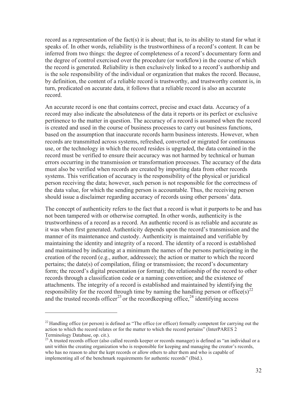record as a representation of the fact(s) it is about; that is, to its ability to stand for what it speaks of. In other words, reliability is the trustworthiness of a record's content. It can be inferred from two things: the degree of completeness of a record's documentary form and the degree of control exercised over the procedure (or workflow) in the course of which the record is generated. Reliability is then exclusively linked to a record's authorship and is the sole responsibility of the individual or organization that makes the record. Because, by definition, the content of a reliable record is trustworthy, and trustworthy content is, in turn, predicated on accurate data, it follows that a reliable record is also an accurate record.

An accurate record is one that contains correct, precise and exact data. Accuracy of a record may also indicate the absoluteness of the data it reports or its perfect or exclusive pertinence to the matter in question. The accuracy of a record is assumed when the record is created and used in the course of business processes to carry out business functions, based on the assumption that inaccurate records harm business interests. However, when records are transmitted across systems, refreshed, converted or migrated for continuous use, or the technology in which the record resides is upgraded, the data contained in the record must be verified to ensure their accuracy was not harmed by technical or human errors occurring in the transmission or transformation processes. The accuracy of the data must also be verified when records are created by importing data from other records systems. This verification of accuracy is the responsibility of the physical or juridical person receiving the data; however, such person is not responsible for the correctness of the data value, for which the sending person is accountable. Thus, the receiving person should issue a disclaimer regarding accuracy of records using other persons' data.

The concept of authenticity refers to the fact that a record is what it purports to be and has not been tampered with or otherwise corrupted. In other words, authenticity is the trustworthiness of a record as a record. An authentic record is as reliable and accurate as it was when first generated. Authenticity depends upon the record's transmission and the manner of its maintenance and custody. Authenticity is maintained and verifiable by maintaining the identity and integrity of a record. The identity of a record is established and maintained by indicating at a minimum the names of the persons participating in the creation of the record (e.g., author, addressee); the action or matter to which the record pertains; the date(s) of compilation, filing or transmission; the record's documentary form; the record's digital presentation (or format); the relationship of the record to other records through a classification code or a naming convention; and the existence of attachments. The integrity of a record is established and maintained by identifying the responsibility for the record through time by naming the handling person or office(s)<sup>22</sup> and the trusted records officer<sup>23</sup> or the record keeping office,<sup>24</sup> identifying access

 $^{22}$  Handling office (or person) is defined as "The office (or officer) formally competent for carrying out the action to which the record relates or for the matter to which the record pertains" (InterPARES 2 Terminology Database, op. cit.).

<sup>&</sup>lt;sup>23</sup> A trusted records officer (also called records keeper or records manager) is defined as "an individual or a unit within the creating organization who is responsible for keeping and managing the creator's records, who has no reason to alter the kept records or allow others to alter them and who is capable of implementing all of the benchmark requirements for authentic records" (Ibid.).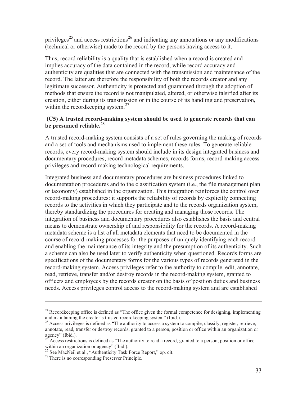privileges<sup>25</sup> and access restrictions<sup>26</sup> and indicating any annotations or any modifications (technical or otherwise) made to the record by the persons having access to it.

Thus, record reliability is a quality that is established when a record is created and implies accuracy of the data contained in the record, while record accuracy and authenticity are qualities that are connected with the transmission and maintenance of the record. The latter are therefore the responsibility of both the records creator and any legitimate successor. Authenticity is protected and guaranteed through the adoption of methods that ensure the record is not manipulated, altered, or otherwise falsified after its creation, either during its transmission or in the course of its handling and preservation, within the record keeping system.<sup>27</sup>

#### **(C5) A trusted record-making system should be used to generate records that can be presumed reliable.**<sup>28</sup>

A trusted record-making system consists of a set of rules governing the making of records and a set of tools and mechanisms used to implement these rules. To generate reliable records, every record-making system should include in its design integrated business and documentary procedures, record metadata schemes, records forms, record-making access privileges and record-making technological requirements.

Integrated business and documentary procedures are business procedures linked to documentation procedures and to the classification system (i.e., the file management plan or taxonomy) established in the organization. This integration reinforces the control over record-making procedures: it supports the reliability of records by explicitly connecting records to the activities in which they participate and to the records organization system, thereby standardizing the procedures for creating and managing those records. The integration of business and documentary procedures also establishes the basis and central means to demonstrate ownership of and responsibility for the records. A record-making metadata scheme is a list of all metadata elements that need to be documented in the course of record-making processes for the purposes of uniquely identifying each record and enabling the maintenance of its integrity and the presumption of its authenticity. Such a scheme can also be used later to verify authenticity when questioned. Records forms are specifications of the documentary forms for the various types of records generated in the record-making system. Access privileges refer to the authority to compile, edit, annotate, read, retrieve, transfer and/or destroy records in the record-making system, granted to officers and employees by the records creator on the basis of position duties and business needs. Access privileges control access to the record-making system and are established

 $24$  Recordkeeping office is defined as "The office given the formal competence for designing, implementing and maintaining the creator's trusted recordkeeping system" (Ibid.).

 $^{25}$  Access privileges is defined as "The authority to access a system to compile, classify, register, retrieve, annotate, read, transfer or destroy records, granted to a person, position or office within an organization or agency" (Ibid.).

 $^{26}$  Access restrictions is defined as "The authority to read a record, granted to a person, position or office within an organization or agency" (Ibid.).

<sup>&</sup>lt;sup>27</sup> See MacNeil et al., "Authenticity Task Force Report," op. cit.

<sup>&</sup>lt;sup>28</sup> There is no corresponding Preserver Principle.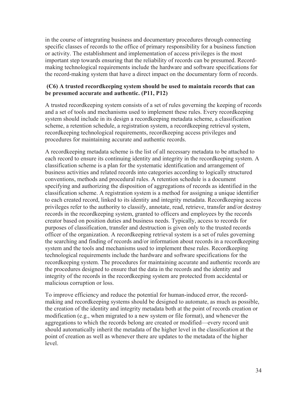in the course of integrating business and documentary procedures through connecting specific classes of records to the office of primary responsibility for a business function or activity. The establishment and implementation of access privileges is the most important step towards ensuring that the reliability of records can be presumed. Recordmaking technological requirements include the hardware and software specifications for the record-making system that have a direct impact on the documentary form of records.

#### **(C6) A trusted recordkeeping system should be used to maintain records that can be presumed accurate and authentic. (P11, P12)**

A trusted recordkeeping system consists of a set of rules governing the keeping of records and a set of tools and mechanisms used to implement these rules. Every recordkeeping system should include in its design a recordkeeping metadata scheme, a classification scheme, a retention schedule, a registration system, a recordkeeping retrieval system, recordkeeping technological requirements, recordkeeping access privileges and procedures for maintaining accurate and authentic records.

A recordkeeping metadata scheme is the list of all necessary metadata to be attached to each record to ensure its continuing identity and integrity in the recordkeeping system. A classification scheme is a plan for the systematic identification and arrangement of business activities and related records into categories according to logically structured conventions, methods and procedural rules. A retention schedule is a document specifying and authorizing the disposition of aggregations of records as identified in the classification scheme. A registration system is a method for assigning a unique identifier to each created record, linked to its identity and integrity metadata. Recordkeeping access privileges refer to the authority to classify, annotate, read, retrieve, transfer and/or destroy records in the recordkeeping system, granted to officers and employees by the records creator based on position duties and business needs. Typically, access to records for purposes of classification, transfer and destruction is given only to the trusted records officer of the organization. A recordkeeping retrieval system is a set of rules governing the searching and finding of records and/or information about records in a recordkeeping system and the tools and mechanisms used to implement these rules. Recordkeeping technological requirements include the hardware and software specifications for the recordkeeping system. The procedures for maintaining accurate and authentic records are the procedures designed to ensure that the data in the records and the identity and integrity of the records in the recordkeeping system are protected from accidental or malicious corruption or loss.

To improve efficiency and reduce the potential for human-induced error, the recordmaking and recordkeeping systems should be designed to automate, as much as possible, the creation of the identity and integrity metadata both at the point of records creation or modification (e.g., when migrated to a new system or file format), and whenever the aggregations to which the records belong are created or modified—every record unit should automatically inherit the metadata of the higher level in the classification at the point of creation as well as whenever there are updates to the metadata of the higher level.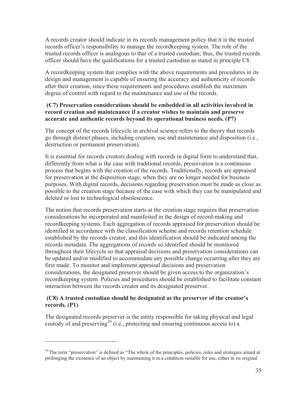A records creator should indicate in its records management policy that it is the trusted records officer's responsibility to manage the recordkeeping system. The role of the trusted records officer is analogous to that of a trusted custodian; thus, the trusted records officer should have the qualifications for a trusted custodian as stated in principle C8.

A recordkeeping system that complies with the above requirements and procedures in its design and management is capable of ensuring the accuracy and authenticity of records after their creation, since these requirements and procedures establish the maximum degree of control with regard to the maintenance and use of the records.

#### **(C7) Preservation considerations should be embedded in all activities involved in record creation and maintenance if a creator wishes to maintain and preserve accurate and authentic records beyond its operational business needs. (P7)**

The concept of the records lifecycle in archival science refers to the theory that records go through distinct phases, including creation, use and maintenance and disposition (i.e., destruction or permanent preservation).

It is essential for records creators dealing with records in digital form to understand that, differently from what is the case with traditional records, preservation is a continuous process that begins with the creation of the records. Traditionally, records are appraised for preservation at the disposition stage, when they are no longer needed for business purposes. With digital records, decisions regarding preservation must be made as close as possible to the creation stage because of the ease with which they can be manipulated and deleted or lost to technological obsolescence.

The notion that records preservation starts at the creation stage requires that preservation considerations be incorporated and manifested in the design of record-making and recordkeeping systems. Each aggregation of records appraised for preservation should be identified in accordance with the classification scheme and records retention schedule established by the records creator, and this identification should be indicated among the records metadata. The aggregations of records so identified should be monitored throughout their lifecycle so that appraisal decisions and preservation considerations can be updated and/or modified to accommodate any possible change occurring after they are first made. To monitor and implement appraisal decisions and preservation considerations, the designated preserver should be given access to the organization's recordkeeping system. Policies and procedures should be established to facilitate constant interaction between the records creator and its designated preserver.

#### **(C8) A trusted custodian should be designated as the preserver of the creator's records. (P1)**

The designated records preserver is the entity responsible for taking physical and legal custody of and preserving<sup>29</sup> (i.e., protecting and ensuring continuous access to) a

<sup>&</sup>lt;sup>29</sup> The term "preservation" is defined as "The whole of the principles, policies, rules and strategies aimed at prolonging the existence of an object by maintaining it in a condition suitable for use, either in its original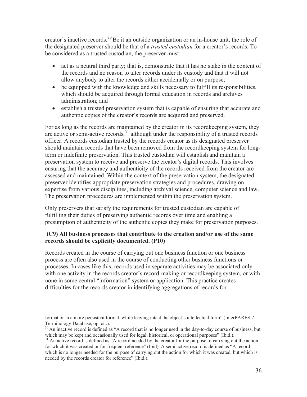creator's inactive records.<sup>30</sup> Be it an outside organization or an in-house unit, the role of the designated preserver should be that of a *trusted custodian* for a creator's records. To be considered as a trusted custodian, the preserver must:

- act as a neutral third party; that is, demonstrate that it has no stake in the content of the records and no reason to alter records under its custody and that it will not allow anybody to alter the records either accidentally or on purpose;
- $\bullet$  be equipped with the knowledge and skills necessary to fulfill its responsibilities, which should be acquired through formal education in records and archives administration; and
- establish a trusted preservation system that is capable of ensuring that accurate and authentic copies of the creator's records are acquired and preserved.

For as long as the records are maintained by the creator in its recordkeeping system, they are active or semi-active records,  $31$  although under the responsibility of a trusted records officer. A records custodian trusted by the records creator as its designated preserver should maintain records that have been removed from the recordkeeping system for longterm or indefinite preservation. This trusted custodian will establish and maintain a preservation system to receive and preserve the creator's digital records. This involves ensuring that the accuracy and authenticity of the records received from the creator are assessed and maintained. Within the context of the preservation system, the designated preserver identifies appropriate preservation strategies and procedures, drawing on expertise from various disciplines, including archival science, computer science and law. The preservation procedures are implemented within the preservation system.

Only preservers that satisfy the requirements for trusted custodian are capable of fulfilling their duties of preserving authentic records over time and enabling a presumption of authenticity of the authentic copies they make for preservation purposes.

#### **(C9) All business processes that contribute to the creation and/or use of the same records should be explicitly documented. (P10)**

Records created in the course of carrying out one business function or one business process are often also used in the course of conducting other business functions or processes. In cases like this, records used in separate activities may be associated only with one activity in the records creator's record-making or recordkeeping system, or with none in some central "information" system or application. This practice creates difficulties for the records creator in identifying aggregations of records for

format or in a more persistent format, while leaving intact the object's intellectual form" (InterPARES 2 Terminology Database, op. cit.).

<sup>&</sup>lt;sup>30</sup> An inactive record is defined as "A record that is no longer used in the day-to-day course of business, but which may be kept and occasionally used for legal, historical, or operational purposes" (Ibid.).

<sup>&</sup>lt;sup>31</sup> An active record is defined as "A record needed by the creator for the purpose of carrying out the action for which it was created or for frequent reference" (Ibid). A semi active record is defined as "A record which is no longer needed for the purpose of carrying out the action for which it was created, but which is needed by the records creator for reference" (Ibid.).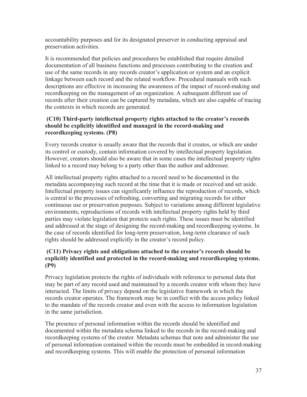accountability purposes and for its designated preserver in conducting appraisal and preservation activities.

It is recommended that policies and procedures be established that require detailed documentation of all business functions and processes contributing to the creation and use of the same records in any records creator's application or system and an explicit linkage between each record and the related workflow. Procedural manuals with such descriptions are effective in increasing the awareness of the impact of record-making and recordkeeping on the management of an organization. A subsequent different use of records after their creation can be captured by metadata, which are also capable of tracing the contexts in which records are generated.

#### **(C10) Third-party intellectual property rights attached to the creator's records should be explicitly identified and managed in the record-making and recordkeeping systems. (P8)**

Every records creator is usually aware that the records that it creates, or which are under its control or custody, contain information covered by intellectual property legislation. However, creators should also be aware that in some cases the intellectual property rights linked to a record may belong to a party other than the author and addressee.

All intellectual property rights attached to a record need to be documented in the metadata accompanying such record at the time that it is made or received and set aside. Intellectual property issues can significantly influence the reproduction of records, which is central to the processes of refreshing, converting and migrating records for either continuous use or preservation purposes. Subject to variations among different legislative environments, reproductions of records with intellectual property rights held by third parties may violate legislation that protects such rights. These issues must be identified and addressed at the stage of designing the record-making and recordkeeping systems. In the case of records identified for long-term preservation, long-term clearance of such rights should be addressed explicitly in the creator's record policy.

#### **(C11) Privacy rights and obligations attached to the creator's records should be explicitly identified and protected in the record-making and recordkeeping systems. (P9)**

Privacy legislation protects the rights of individuals with reference to personal data that may be part of any record used and maintained by a records creator with whom they have interacted. The limits of privacy depend on the legislative framework in which the records creator operates. The framework may be in conflict with the access policy linked to the mandate of the records creator and even with the access to information legislation in the same jurisdiction.

The presence of personal information within the records should be identified and documented within the metadata schema linked to the records in the record-making and recordkeeping systems of the creator. Metadata schemas that note and administer the use of personal information contained within the records must be embedded in record-making and recordkeeping systems. This will enable the protection of personal information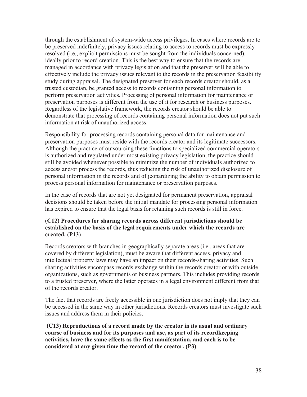through the establishment of system-wide access privileges. In cases where records are to be preserved indefinitely, privacy issues relating to access to records must be expressly resolved (i.e., explicit permissions must be sought from the individuals concerned), ideally prior to record creation. This is the best way to ensure that the records are managed in accordance with privacy legislation and that the preserver will be able to effectively include the privacy issues relevant to the records in the preservation feasibility study during appraisal. The designated preserver for each records creator should, as a trusted custodian, be granted access to records containing personal information to perform preservation activities. Processing of personal information for maintenance or preservation purposes is different from the use of it for research or business purposes. Regardless of the legislative framework, the records creator should be able to demonstrate that processing of records containing personal information does not put such information at risk of unauthorized access.

Responsibility for processing records containing personal data for maintenance and preservation purposes must reside with the records creator and its legitimate successors. Although the practice of outsourcing these functions to specialized commercial operators is authorized and regulated under most existing privacy legislation, the practice should still be avoided whenever possible to minimize the number of individuals authorized to access and/or process the records, thus reducing the risk of unauthorized disclosure of personal information in the records and of jeopardizing the ability to obtain permission to process personal information for maintenance or preservation purposes.

In the case of records that are not yet designated for permanent preservation, appraisal decisions should be taken before the initial mandate for processing personal information has expired to ensure that the legal basis for retaining such records is still in force.

#### **(C12) Procedures for sharing records across different jurisdictions should be established on the basis of the legal requirements under which the records are created. (P13)**

Records creators with branches in geographically separate areas (i.e., areas that are covered by different legislation), must be aware that different access, privacy and intellectual property laws may have an impact on their records-sharing activities. Such sharing activities encompass records exchange within the records creator or with outside organizations, such as governments or business partners. This includes providing records to a trusted preserver, where the latter operates in a legal environment different from that of the records creator.

The fact that records are freely accessible in one jurisdiction does not imply that they can be accessed in the same way in other jurisdictions. Records creators must investigate such issues and address them in their policies.

 **(C13) Reproductions of a record made by the creator in its usual and ordinary course of business and for its purposes and use, as part of its recordkeeping activities, have the same effects as the first manifestation, and each is to be considered at any given time the record of the creator. (P3)**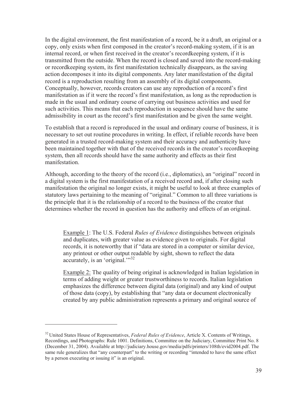In the digital environment, the first manifestation of a record, be it a draft, an original or a copy, only exists when first composed in the creator's record-making system, if it is an internal record, or when first received in the creator's recordkeeping system, if it is transmitted from the outside. When the record is closed and saved into the record-making or recordkeeping system, its first manifestation technically disappears, as the saving action decomposes it into its digital components. Any later manifestation of the digital record is a reproduction resulting from an assembly of its digital components. Conceptually, however, records creators can use any reproduction of a record's first manifestation as if it were the record's first manifestation, as long as the reproduction is made in the usual and ordinary course of carrying out business activities and used for such activities. This means that each reproduction in sequence should have the same admissibility in court as the record's first manifestation and be given the same weight.

To establish that a record is reproduced in the usual and ordinary course of business, it is necessary to set out routine procedures in writing. In effect, if reliable records have been generated in a trusted record-making system and their accuracy and authenticity have been maintained together with that of the received records in the creator's recordkeeping system, then all records should have the same authority and effects as their first manifestation.

Although, according to the theory of the record (i.e., diplomatics), an "original" record in a digital system is the first manifestation of a received record and, if after closing such manifestation the original no longer exists, it might be useful to look at three examples of statutory laws pertaining to the meaning of "original." Common to all three variations is the principle that it is the relationship of a record to the business of the creator that determines whether the record in question has the authority and effects of an original.

Example 1: The U.S. Federal *Rules of Evidence* distinguishes between originals and duplicates, with greater value as evidence given to originals. For digital records, it is noteworthy that if "data are stored in a computer or similar device, any printout or other output readable by sight, shown to reflect the data accurately, is an 'original."<sup>32</sup>

Example 2: The quality of being original is acknowledged in Italian legislation in terms of adding weight or greater trustworthiness to records. Italian legislation emphasizes the difference between digital data (original) and any kind of output of those data (copy), by establishing that "any data or document electronically created by any public administration represents a primary and original source of

<sup>&</sup>lt;sup>32</sup> United States House of Representatives, *Federal Rules of Evidence*, Article X. Contents of Writings, Recordings, and Photographs: Rule 1001. Definitions, Committee on the Judiciary, Committee Print No. 8 (December 31, 2004). Available at http://judiciary.house.gov/media/pdfs/printers/108th/evid2004.pdf. The same rule generalizes that "any counterpart" to the writing or recording "intended to have the same effect by a person executing or issuing it" is an original.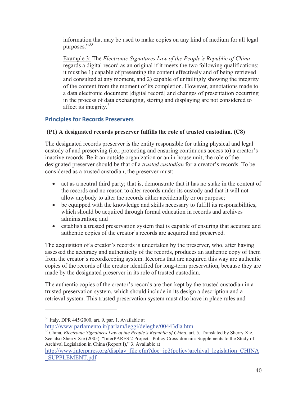information that may be used to make copies on any kind of medium for all legal purposes."<sup>33</sup>

Example 3: The *Electronic Signatures Law of the People's Republic of China* regards a digital record as an original if it meets the two following qualifications: it must be 1) capable of presenting the content effectively and of being retrieved and consulted at any moment, and 2) capable of unfailingly showing the integrity of the content from the moment of its completion. However, annotations made to a data electronic document [digital record] and changes of presentation occurring in the process of data exchanging, storing and displaying are not considered to affect its integrity.<sup>34</sup>

## **Principles for Records Preservers**

#### **(P1) A designated records preserver fulfills the role of trusted custodian. (C8)**

The designated records preserver is the entity responsible for taking physical and legal custody of and preserving (i.e., protecting and ensuring continuous access to) a creator's inactive records. Be it an outside organization or an in-house unit, the role of the designated preserver should be that of a *trusted custodian* for a creator's records. To be considered as a trusted custodian, the preserver must:

- $\bullet$  act as a neutral third party; that is, demonstrate that it has no stake in the content of the records and no reason to alter records under its custody and that it will not allow anybody to alter the records either accidentally or on purpose;
- $\bullet$  be equipped with the knowledge and skills necessary to fulfill its responsibilities, which should be acquired through formal education in records and archives administration; and
- establish a trusted preservation system that is capable of ensuring that accurate and authentic copies of the creator's records are acquired and preserved.

The acquisition of a creator's records is undertaken by the preserver, who, after having assessed the accuracy and authenticity of the records, produces an authentic copy of them from the creator's recordkeeping system. Records that are acquired this way are authentic copies of the records of the creator identified for long-term preservation, because they are made by the designated preserver in its role of trusted custodian.

The authentic copies of the creator's records are then kept by the trusted custodian in a trusted preservation system, which should include in its design a description and a retrieval system. This trusted preservation system must also have in place rules and

 $33$  Italy, DPR 445/2000, art. 9, par. 1. Available at

http://www.parlamento.it/parlam/leggi/deleghe/00443dla.htm. 34 China, *Electronic Signatures Law of the People's Republic of China*, art. 5. Translated by Sherry Xie. See also Sherry Xie (2005). "InterPARES 2 Project - Policy Cross-domain: Supplements to the Study of Archival Legislation in China (Report I)," 3. Available at

http://www.interpares.org/display\_file.cfm?doc=ip2(policy)archival\_legislation\_CHINA \_SUPPLEMENT.pdf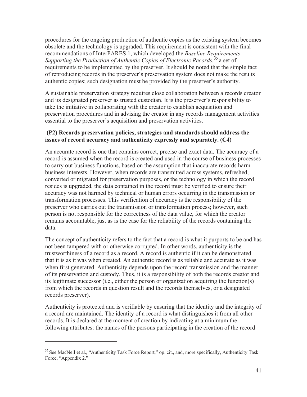procedures for the ongoing production of authentic copies as the existing system becomes obsolete and the technology is upgraded. This requirement is consistent with the final recommendations of InterPARES 1, which developed the *Baseline Requirements*  Supporting the Production of Authentic Copies of Electronic Records,<sup>35</sup> a set of requirements to be implemented by the preserver. It should be noted that the simple fact of reproducing records in the preserver's preservation system does not make the results authentic copies; such designation must be provided by the preserver's authority.

A sustainable preservation strategy requires close collaboration between a records creator and its designated preserver as trusted custodian. It is the preserver's responsibility to take the initiative in collaborating with the creator to establish acquisition and preservation procedures and in advising the creator in any records management activities essential to the preserver's acquisition and preservation activities.

#### **(P2) Records preservation policies, strategies and standards should address the issues of record accuracy and authenticity expressly and separately. (C4)**

An accurate record is one that contains correct, precise and exact data. The accuracy of a record is assumed when the record is created and used in the course of business processes to carry out business functions, based on the assumption that inaccurate records harm business interests. However, when records are transmitted across systems, refreshed, converted or migrated for preservation purposes, or the technology in which the record resides is upgraded, the data contained in the record must be verified to ensure their accuracy was not harmed by technical or human errors occurring in the transmission or transformation processes. This verification of accuracy is the responsibility of the preserver who carries out the transmission or transformation process; however, such person is not responsible for the correctness of the data value, for which the creator remains accountable, just as is the case for the reliability of the records containing the data.

The concept of authenticity refers to the fact that a record is what it purports to be and has not been tampered with or otherwise corrupted. In other words, authenticity is the trustworthiness of a record as a record. A record is authentic if it can be demonstrated that it is as it was when created. An authentic record is as reliable and accurate as it was when first generated. Authenticity depends upon the record transmission and the manner of its preservation and custody. Thus, it is a responsibility of both the records creator and its legitimate successor (i.e., either the person or organization acquiring the function(s) from which the records in question result and the records themselves, or a designated records preserver).

Authenticity is protected and is verifiable by ensuring that the identity and the integrity of a record are maintained. The identity of a record is what distinguishes it from all other records. It is declared at the moment of creation by indicating at a minimum the following attributes: the names of the persons participating in the creation of the record

<sup>&</sup>lt;sup>35</sup> See MacNeil et al., "Authenticity Task Force Report," op. cit., and, more specifically, Authenticity Task Force, "Appendix 2."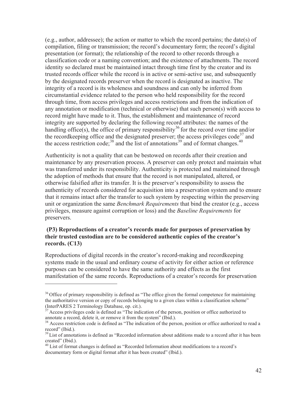(e.g., author, addressee); the action or matter to which the record pertains; the date(s) of compilation, filing or transmission; the record's documentary form; the record's digital presentation (or format); the relationship of the record to other records through a classification code or a naming convention; and the existence of attachments. The record identity so declared must be maintained intact through time first by the creator and its trusted records officer while the record is in active or semi-active use, and subsequently by the designated records preserver when the record is designated as inactive. The integrity of a record is its wholeness and soundness and can only be inferred from circumstantial evidence related to the person who held responsibility for the record through time, from access privileges and access restrictions and from the indication of any annotation or modification (technical or otherwise) that such person(s) with access to record might have made to it. Thus, the establishment and maintenance of record integrity are supported by declaring the following record attributes: the names of the handling office(s), the office of primary responsibility<sup>36</sup> for the record over time and/or the record keeping office and the designated preserver; the access privileges code<sup>37</sup> and the access restriction code;<sup>38</sup> and the list of annotations<sup>39</sup> and of format changes.<sup>40</sup>

Authenticity is not a quality that can be bestowed on records after their creation and maintenance by any preservation process. A preserver can only protect and maintain what was transferred under its responsibility. Authenticity is protected and maintained through the adoption of methods that ensure that the record is not manipulated, altered, or otherwise falsified after its transfer. It is the preserver's responsibility to assess the authenticity of records considered for acquisition into a preservation system and to ensure that it remains intact after the transfer to such system by respecting within the preserving unit or organization the same *Benchmark Requirements* that bind the creator (e.g., access privileges, measure against corruption or loss) and the *Baseline Requirements* for preservers.

#### **(P3) Reproductions of a creator's records made for purposes of preservation by their trusted custodian are to be considered authentic copies of the creator's records. (C13)**

Reproductions of digital records in the creator's record-making and recordkeeping systems made in the usual and ordinary course of activity for either action or reference purposes can be considered to have the same authority and effects as the first manifestation of the same records. Reproductions of a creator's records for preservation

<sup>&</sup>lt;sup>36</sup> Office of primary responsibility is defined as "The office given the formal competence for maintaining the authoritative version or copy of records belonging to a given class within a classification scheme" (InterPARES 2 Terminology Database, op. cit.).

 $37$  Access privileges code is defined as "The indication of the person, position or office authorized to annotate a record, delete it, or remove it from the system" (Ibid.).

<sup>&</sup>lt;sup>38</sup> Access restriction code is defined as "The indication of the person, position or office authorized to read a record" (Ibid.).

<sup>&</sup>lt;sup>39</sup> List of annotations is defined as "Recorded information about additions made to a record after it has been created" (Ibid.).

<sup>&</sup>lt;sup>40</sup> List of format changes is defined as "Recorded Information about modifications to a record's documentary form or digital format after it has been created" (Ibid.).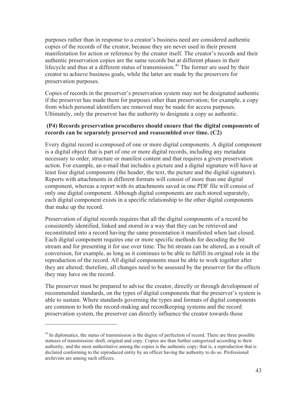purposes rather than in response to a creator's business need are considered authentic copies of the records of the creator, because they are never used in their present manifestation for action or reference by the creator itself. The creator's records and their authentic preservation copies are the same records but at different phases in their lifecycle and thus at a different status of transmission.<sup>41</sup> The former are used by their creator to achieve business goals, while the latter are made by the preservers for preservation purposes.

Copies of records in the preserver's preservation system may not be designated authentic if the preserver has made them for purposes other than preservation; for example, a copy from which personal identifiers are removed may be made for access purposes. Ultimately, only the preserver has the authority to designate a copy as authentic.

#### **(P4) Records preservation procedures should ensure that the digital components of records can be separately preserved and reassembled over time. (C2)**

Every digital record is composed of one or more digital components. A digital component is a digital object that is part of one or more digital records, including any metadata necessary to order, structure or manifest content and that requires a given preservation action. For example, an e-mail that includes a picture and a digital signature will have at least four digital components (the header, the text, the picture and the digital signature). Reports with attachments in different formats will consist of more than one digital component, whereas a report with its attachments saved in one PDF file will consist of only one digital component. Although digital components are each stored separately, each digital component exists in a specific relationship to the other digital components that make up the record.

Preservation of digital records requires that all the digital components of a record be consistently identified, linked and stored in a way that they can be retrieved and reconstituted into a record having the same presentation it manifested when last closed. Each digital component requires one or more specific methods for decoding the bit stream and for presenting it for use over time. The bit stream can be altered, as a result of conversion, for example, as long as it continues to be able to fulfill its original role in the reproduction of the record. All digital components must be able to work together after they are altered; therefore, all changes need to be assessed by the preserver for the effects they may have on the record.

The preserver must be prepared to advise the creator, directly or through development of recommended standards, on the types of digital components that the preserver's system is able to sustain. Where standards governing the types and formats of digital components are common to both the record-making and recordkeeping systems and the record preservation system, the preserver can directly influence the creator towards those

<sup>&</sup>lt;sup>41</sup> In diplomatics, the status of transmission is the degree of perfection of record. There are three possible statuses of transmission: draft, original and copy. Copies are than further categorized according to their authority, and the most authoritative among the copies is the authentic copy; that is, a reproduction that is declared conforming to the reproduced entity by an officer having the authority to do so. Professional archivists are among such officers.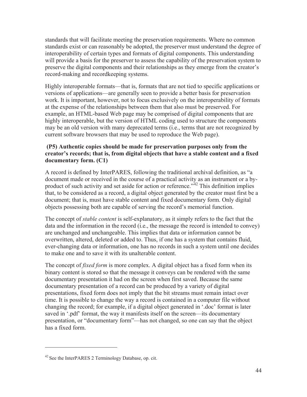standards that will facilitate meeting the preservation requirements. Where no common standards exist or can reasonably be adopted, the preserver must understand the degree of interoperability of certain types and formats of digital components. This understanding will provide a basis for the preserver to assess the capability of the preservation system to preserve the digital components and their relationships as they emerge from the creator's record-making and recordkeeping systems.

Highly interoperable formats—that is, formats that are not tied to specific applications or versions of applications—are generally seen to provide a better basis for preservation work. It is important, however, not to focus exclusively on the interoperability of formats at the expense of the relationships between them that also must be preserved. For example, an HTML-based Web page may be comprised of digital components that are highly interoperable, but the version of HTML coding used to structure the components may be an old version with many deprecated terms (i.e., terms that are not recognized by current software browsers that may be used to reproduce the Web page).

#### **(P5) Authentic copies should be made for preservation purposes only from the creator's records; that is, from digital objects that have a stable content and a fixed documentary form. (C1)**

A record is defined by InterPARES, following the traditional archival definition, as "a document made or received in the course of a practical activity as an instrument or a byproduct of such activity and set aside for action or reference.<sup> $342$ </sup> This definition implies that, to be considered as a record, a digital object generated by the creator must first be a document; that is, must have stable content and fixed documentary form. Only digital objects possessing both are capable of serving the record's memorial function.

The concept of *stable content* is self-explanatory, as it simply refers to the fact that the data and the information in the record (i.e., the message the record is intended to convey) are unchanged and unchangeable. This implies that data or information cannot be overwritten, altered, deleted or added to. Thus, if one has a system that contains fluid, ever-changing data or information, one has no records in such a system until one decides to make one and to save it with its unalterable content.

The concept of *fixed form* is more complex. A digital object has a fixed form when its binary content is stored so that the message it conveys can be rendered with the same documentary presentation it had on the screen when first saved. Because the same documentary presentation of a record can be produced by a variety of digital presentations, fixed form does not imply that the bit streams must remain intact over time. It is possible to change the way a record is contained in a computer file without changing the record; for example, if a digital object generated in '.doc' format is later saved in '.pdf' format, the way it manifests itself on the screen—its documentary presentation, or "documentary form"—has not changed, so one can say that the object has a fixed form.

 $42$  See the InterPARES 2 Terminology Database, op. cit.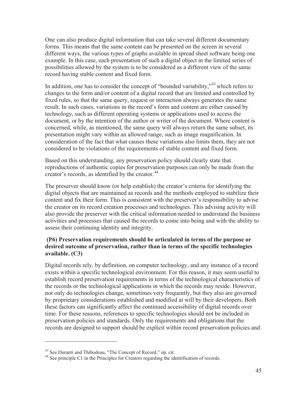One can also produce digital information that can take several different documentary forms. This means that the same content can be presented on the screen in several different ways, the various types of graphs available in spread sheet software being one example. In this case, each presentation of such a digital object in the limited series of possibilities allowed by the system is to be considered as a different view of the same record having stable content and fixed form.

In addition, one has to consider the concept of "bounded variability,"<sup>43</sup> which refers to changes to the form and/or content of a digital record that are limited and controlled by fixed rules, so that the same query, request or interaction always generates the same result. In such cases, variations in the record's form and content are either caused by technology, such as different operating systems or applications used to access the document, or by the intention of the author or writer of the document. Where content is concerned, while, as mentioned, the same query will always return the same subset, its presentation might vary within an allowed range, such as image magnification. In consideration of the fact that what causes these variations also limits them, they are not considered to be violations of the requirements of stable content and fixed form.

Based on this understanding, any preservation policy should clearly state that reproductions of authentic copies for preservation purposes can only be made from the creator's records, as identified by the creator.<sup>44</sup>

The preserver should know (or help establish) the creator's criteria for identifying the digital objects that are maintained as records and the methods employed to stabilize their content and fix their form. This is consistent with the preserver's responsibility to advise the creator on its record creation processes and technologies. This advising activity will also provide the preserver with the critical information needed to understand the business activities and processes that caused the records to come into being and with the ability to assess their continuing identity and integrity.

#### **(P6) Preservation requirements should be articulated in terms of the purpose or desired outcome of preservation, rather than in terms of the specific technologies available. (C3)**

Digital records rely, by definition, on computer technology, and any instance of a record exists within a specific technological environment. For this reason, it may seem useful to establish record preservation requirements in terms of the technological characteristics of the records or the technological applications in which the records may reside. However, not only do technologies change, sometimes very frequently, but they also are governed by proprietary considerations established and modified at will by their developers. Both these factors can significantly affect the continued accessibility of digital records over time. For these reasons, references to specific technologies should not be included in preservation policies and standards. Only the requirements and obligations that the records are designed to support should be explicit within record preservation policies and

<sup>43</sup> See Duranti and Thibodeau, "The Concept of Record," op. cit.

<sup>&</sup>lt;sup>44</sup> See principle C1 in the Principles for Creators regarding the identification of records.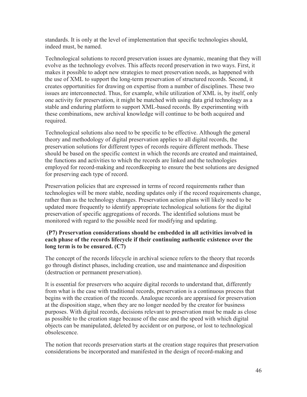standards. It is only at the level of implementation that specific technologies should, indeed must, be named.

Technological solutions to record preservation issues are dynamic, meaning that they will evolve as the technology evolves. This affects record preservation in two ways. First, it makes it possible to adopt new strategies to meet preservation needs, as happened with the use of XML to support the long-term preservation of structured records. Second, it creates opportunities for drawing on expertise from a number of disciplines. These two issues are interconnected. Thus, for example, while utilization of XML is, by itself, only one activity for preservation, it might be matched with using data grid technology as a stable and enduring platform to support XML-based records. By experimenting with these combinations, new archival knowledge will continue to be both acquired and required.

Technological solutions also need to be specific to be effective. Although the general theory and methodology of digital preservation applies to all digital records, the preservation solutions for different types of records require different methods. These should be based on the specific context in which the records are created and maintained, the functions and activities to which the records are linked and the technologies employed for record-making and recordkeeping to ensure the best solutions are designed for preserving each type of record.

Preservation policies that are expressed in terms of record requirements rather than technologies will be more stable, needing updates only if the record requirements change, rather than as the technology changes. Preservation action plans will likely need to be updated more frequently to identify appropriate technological solutions for the digital preservation of specific aggregations of records. The identified solutions must be monitored with regard to the possible need for modifying and updating.

#### **(P7) Preservation considerations should be embedded in all activities involved in each phase of the records lifecycle if their continuing authentic existence over the long term is to be ensured. (C7)**

The concept of the records lifecycle in archival science refers to the theory that records go through distinct phases, including creation, use and maintenance and disposition (destruction or permanent preservation).

It is essential for preservers who acquire digital records to understand that, differently from what is the case with traditional records, preservation is a continuous process that begins with the creation of the records. Analogue records are appraised for preservation at the disposition stage, when they are no longer needed by the creator for business purposes. With digital records, decisions relevant to preservation must be made as close as possible to the creation stage because of the ease and the speed with which digital objects can be manipulated, deleted by accident or on purpose, or lost to technological obsolescence.

The notion that records preservation starts at the creation stage requires that preservation considerations be incorporated and manifested in the design of record-making and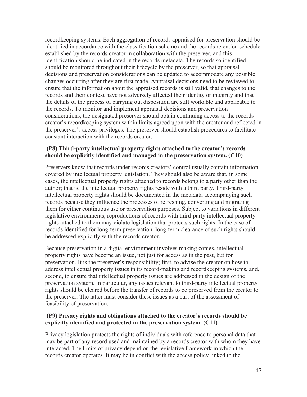recordkeeping systems. Each aggregation of records appraised for preservation should be identified in accordance with the classification scheme and the records retention schedule established by the records creator in collaboration with the preserver, and this identification should be indicated in the records metadata. The records so identified should be monitored throughout their lifecycle by the preserver, so that appraisal decisions and preservation considerations can be updated to accommodate any possible changes occurring after they are first made. Appraisal decisions need to be reviewed to ensure that the information about the appraised records is still valid, that changes to the records and their context have not adversely affected their identity or integrity and that the details of the process of carrying out disposition are still workable and applicable to the records. To monitor and implement appraisal decisions and preservation considerations, the designated preserver should obtain continuing access to the records creator's recordkeeping system within limits agreed upon with the creator and reflected in the preserver's access privileges. The preserver should establish procedures to facilitate constant interaction with the records creator.

#### **(P8) Third-party intellectual property rights attached to the creator's records should be explicitly identified and managed in the preservation system. (C10)**

Preservers know that records under records creators' control usually contain information covered by intellectual property legislation. They should also be aware that, in some cases, the intellectual property rights attached to records belong to a party other than the author; that is, the intellectual property rights reside with a third party. Third-party intellectual property rights should be documented in the metadata accompanying such records because they influence the processes of refreshing, converting and migrating them for either continuous use or preservation purposes. Subject to variations in different legislative environments, reproductions of records with third-party intellectual property rights attached to them may violate legislation that protects such rights. In the case of records identified for long-term preservation, long-term clearance of such rights should be addressed explicitly with the records creator.

Because preservation in a digital environment involves making copies, intellectual property rights have become an issue, not just for access as in the past, but for preservation. It is the preserver's responsibility; first, to advise the creator on how to address intellectual property issues in its record-making and recordkeeping systems, and, second, to ensure that intellectual property issues are addressed in the design of the preservation system. In particular, any issues relevant to third-party intellectual property rights should be cleared before the transfer of records to be preserved from the creator to the preserver. The latter must consider these issues as a part of the assessment of feasibility of preservation.

#### **(P9) Privacy rights and obligations attached to the creator's records should be explicitly identified and protected in the preservation system. (C11)**

Privacy legislation protects the rights of individuals with reference to personal data that may be part of any record used and maintained by a records creator with whom they have interacted. The limits of privacy depend on the legislative framework in which the records creator operates. It may be in conflict with the access policy linked to the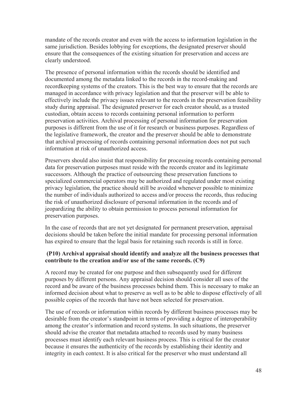mandate of the records creator and even with the access to information legislation in the same jurisdiction. Besides lobbying for exceptions, the designated preserver should ensure that the consequences of the existing situation for preservation and access are clearly understood.

The presence of personal information within the records should be identified and documented among the metadata linked to the records in the record-making and recordkeeping systems of the creators. This is the best way to ensure that the records are managed in accordance with privacy legislation and that the preserver will be able to effectively include the privacy issues relevant to the records in the preservation feasibility study during appraisal. The designated preserver for each creator should, as a trusted custodian, obtain access to records containing personal information to perform preservation activities. Archival processing of personal information for preservation purposes is different from the use of it for research or business purposes. Regardless of the legislative framework, the creator and the preserver should be able to demonstrate that archival processing of records containing personal information does not put such information at risk of unauthorized access.

Preservers should also insist that responsibility for processing records containing personal data for preservation purposes must reside with the records creator and its legitimate successors. Although the practice of outsourcing these preservation functions to specialized commercial operators may be authorized and regulated under most existing privacy legislation, the practice should still be avoided whenever possible to minimize the number of individuals authorized to access and/or process the records, thus reducing the risk of unauthorized disclosure of personal information in the records and of jeopardizing the ability to obtain permission to process personal information for preservation purposes.

In the case of records that are not yet designated for permanent preservation, appraisal decisions should be taken before the initial mandate for processing personal information has expired to ensure that the legal basis for retaining such records is still in force.

#### **(P10) Archival appraisal should identify and analyze all the business processes that contribute to the creation and/or use of the same records. (C9)**

A record may be created for one purpose and then subsequently used for different purposes by different persons. Any appraisal decision should consider all uses of the record and be aware of the business processes behind them. This is necessary to make an informed decision about what to preserve as well as to be able to dispose effectively of all possible copies of the records that have not been selected for preservation.

The use of records or information within records by different business processes may be desirable from the creator's standpoint in terms of providing a degree of interoperability among the creator's information and record systems. In such situations, the preserver should advise the creator that metadata attached to records used by many business processes must identify each relevant business process. This is critical for the creator because it ensures the authenticity of the records by establishing their identity and integrity in each context. It is also critical for the preserver who must understand all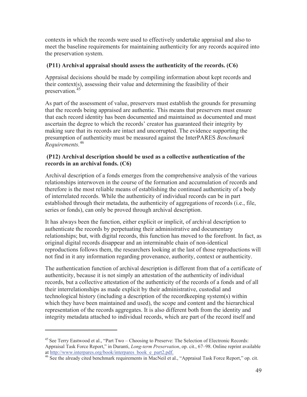contexts in which the records were used to effectively undertake appraisal and also to meet the baseline requirements for maintaining authenticity for any records acquired into the preservation system.

#### **(P11) Archival appraisal should assess the authenticity of the records. (C6)**

Appraisal decisions should be made by compiling information about kept records and their context(s), assessing their value and determining the feasibility of their preservation.<sup>4</sup>

As part of the assessment of value, preservers must establish the grounds for presuming that the records being appraised are authentic. This means that preservers must ensure that each record identity has been documented and maintained as documented and must ascertain the degree to which the records' creator has guaranteed their integrity by making sure that its records are intact and uncorrupted. The evidence supporting the presumption of authenticity must be measured against the InterPARES *Benchmark Requirements.*<sup>46</sup>

#### **(P12) Archival description should be used as a collective authentication of the records in an archival fonds. (C6)**

Archival description of a fonds emerges from the comprehensive analysis of the various relationships interwoven in the course of the formation and accumulation of records and therefore is the most reliable means of establishing the continued authenticity of a body of interrelated records. While the authenticity of individual records can be in part established through their metadata, the authenticity of aggregations of records (i.e., file, series or fonds), can only be proved through archival description.

It has always been the function, either explicit or implicit, of archival description to authenticate the records by perpetuating their administrative and documentary relationships; but, with digital records, this function has moved to the forefront. In fact, as original digital records disappear and an interminable chain of non-identical reproductions follows them, the researchers looking at the last of those reproductions will not find in it any information regarding provenance, authority, context or authenticity.

The authentication function of archival description is different from that of a certificate of authenticity, because it is not simply an attestation of the authenticity of individual records, but a collective attestation of the authenticity of the records of a fonds and of all their interrelationships as made explicit by their administrative, custodial and technological history (including a description of the recordkeeping system(s) within which they have been maintained and used), the scope and content and the hierarchical representation of the records aggregates. It is also different both from the identity and integrity metadata attached to individual records, which are part of the record itself and

<sup>&</sup>lt;sup>45</sup> See Terry Eastwood et al., "Part Two – Choosing to Preserve: The Selection of Electronic Records: Appraisal Task Force Report," in Duranti, *Long-term Preservation*, op. cit., 67–98. Online reprint available at http://www.interpares.org/book/interpares\_book\_e\_part2.pdf. 46 See the already cited benchmark requirements in MacNeil et al., "Appraisal Task Force Report," op. cit.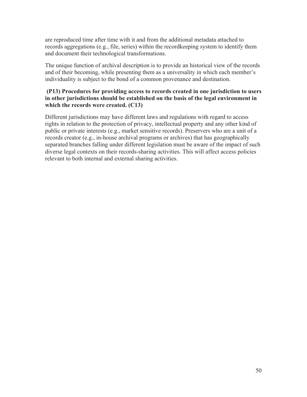are reproduced time after time with it and from the additional metadata attached to records aggregations (e.g., file, series) within the recordkeeping system to identify them and document their technological transformations.

The unique function of archival description is to provide an historical view of the records and of their becoming, while presenting them as a universality in which each member's individuality is subject to the bond of a common provenance and destination.

#### **(P13) Procedures for providing access to records created in one jurisdiction to users in other jurisdictions should be established on the basis of the legal environment in which the records were created. (C13)**

Different jurisdictions may have different laws and regulations with regard to access rights in relation to the protection of privacy, intellectual property and any other kind of public or private interests (e.g., market sensitive records). Preservers who are a unit of a records creator (e.g., in-house archival programs or archives) that has geographically separated branches falling under different legislation must be aware of the impact of such diverse legal contexts on their records-sharing activities. This will affect access policies relevant to both internal and external sharing activities.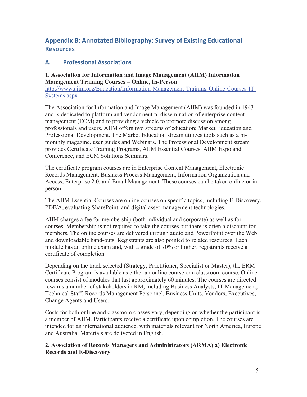## **Appendix B: Annotated Bibliography: Survey of Existing Educational Resources**

#### **A. Professional Associations**

#### **1. Association for Information and Image Management (AIIM) Information Management Training Courses – Online, In-Person**

http://www.aiim.org/Education/Information-Management-Training-Online-Courses-IT-Systems.aspx

The Association for Information and Image Management (AIIM) was founded in 1943 and is dedicated to platform and vendor neutral dissemination of enterprise content management (ECM) and to providing a vehicle to promote discussion among professionals and users. AIIM offers two streams of education; Market Education and Professional Development. The Market Education stream utilizes tools such as a bimonthly magazine, user guides and Webinars. The Professional Development stream provides Certificate Training Programs, AIIM Essential Courses, AIIM Expo and Conference, and ECM Solutions Seminars.

The certificate program courses are in Enterprise Content Management, Electronic Records Management, Business Process Management, Information Organization and Access, Enterprise 2.0, and Email Management. These courses can be taken online or in person.

The AIIM Essential Courses are online courses on specific topics, including E-Discovery, PDF/A, evaluating SharePoint, and digital asset management technologies.

AIIM charges a fee for membership (both individual and corporate) as well as for courses. Membership is not required to take the courses but there is often a discount for members. The online courses are delivered through audio and PowerPoint over the Web and downloadable hand-outs. Registrants are also pointed to related resources. Each module has an online exam and, with a grade of 70% or higher, registrants receive a certificate of completion.

Depending on the track selected (Strategy, Practitioner, Specialist or Master), the ERM Certificate Program is available as either an online course or a classroom course. Online courses consist of modules that last approximately 60 minutes. The courses are directed towards a number of stakeholders in RM, including Business Analysts, IT Management, Technical Staff, Records Management Personnel, Business Units, Vendors, Executives, Change Agents and Users.

Costs for both online and classroom classes vary, depending on whether the participant is a member of AIIM. Participants receive a certificate upon completion. The courses are intended for an international audience, with materials relevant for North America, Europe and Australia. Materials are delivered in English.

**2. Association of Records Managers and Administrators (ARMA) a) Electronic Records and E-Discovery**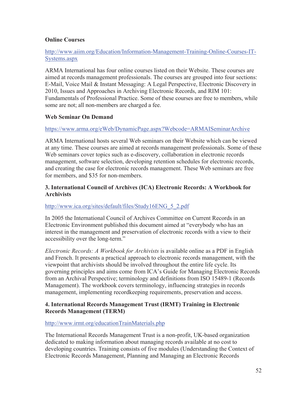#### **Online Courses**

#### http://www.aiim.org/Education/Information-Management-Training-Online-Courses-IT-Systems.aspx

ARMA International has four online courses listed on their Website. These courses are aimed at records management professionals. The courses are grouped into four sections: E-Mail, Voice Mail & Instant Messaging: A Legal Perspective, Electronic Discovery in 2010, Issues and Approaches in Archiving Electronic Records, and RIM 101: Fundamentals of Professional Practice. Some of these courses are free to members, while some are not; all non-members are charged a fee.

#### **Web Seminar On Demand**

#### https://www.arma.org/eWeb/DynamicPage.aspx?Webcode=ARMAISeminarArchive

ARMA International hosts several Web seminars on their Website which can be viewed at any time. These courses are aimed at records management professionals. Some of these Web seminars cover topics such as e-discovery, collaboration in electronic records management, software selection, developing retention schedules for electronic records, and creating the case for electronic records management. These Web seminars are free for members, and \$35 for non-members.

#### **3. International Council of Archives (ICA) Electronic Records: A Workbook for Archivists**

#### http://www.ica.org/sites/default/files/Study16ENG\_5\_2.pdf

In 2005 the International Council of Archives Committee on Current Records in an Electronic Environment published this document aimed at "everybody who has an interest in the management and preservation of electronic records with a view to their accessibility over the long-term."

*Electronic Records: A Workbook for Archivists* is available online as a PDF in English and French. It presents a practical approach to electronic records management, with the viewpoint that archivists should be involved throughout the entire life cycle. Its governing principles and aims come from ICA's Guide for Managing Electronic Records from an Archival Perspective; terminology and definitions from ISO 15489-1 (Records Management). The workbook covers terminology, influencing strategies in records management, implementing recordkeeping requirements, preservation and access.

#### **4. International Records Management Trust (IRMT) Training in Electronic Records Management (TERM)**

#### http://www.irmt.org/educationTrainMaterials.php

The International Records Management Trust is a non-profit, UK-based organization dedicated to making information about managing records available at no cost to developing countries. Training consists of five modules (Understanding the Context of Electronic Records Management, Planning and Managing an Electronic Records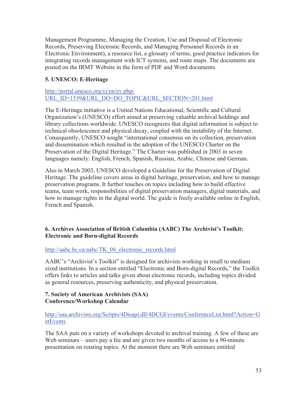Management Programme, Managing the Creation, Use and Disposal of Electronic Records, Preserving Electronic Records, and Managing Personnel Records in an Electronic Environment), a resource list, a glossary of terms, good practice indicators for integrating records management with ICT systems, and route maps. The documents are posted on the IRMT Website in the form of PDF and Word documents.

#### **5. UNESCO: E-Heritage**

http://portal.unesco.org/ci/en/ev.php-URL\_ID=1539&URL\_DO=DO\_TOPIC&URL\_SECTION=201.html

The E-Heritage initiative is a United Nations Educational, Scientific and Cultural Organization's (UNESCO) effort aimed at preserving valuable archival holdings and library collections worldwide. UNESCO recognizes that digital information is subject to technical obsolescence and physical decay, coupled with the instability of the Internet. Consequently, UNESCO sought "international consensus on its collection, preservation and dissemination which resulted in the adoption of the UNESCO Charter on the Preservation of the Digital Heritage." The Charter was published in 2003 in seven languages namely: English, French, Spanish, Russian, Arabic, Chinese and German.

Also in March 2003, UNESCO developed a Guideline for the Preservation of Digital Heritage. The guideline covers areas in digital heritage, preservation, and how to manage preservation programs. It further touches on topics including how to build effective teams, team work, responsibilities of digital preservation managers, digital materials, and how to manage rights in the digital world. The guide is freely available online in English, French and Spanish.

#### **6. Archives Association of British Columbia (AABC) The Archivist's Toolkit: Electronic and Born-digital Records**

#### http://aabc.bc.ca/aabc/TK\_08\_electronic\_records.html

AABC's "Archivist's Toolkit" is designed for archivists working in small to medium sized institutions. In a section entitled "Electronic and Born-digital Records," the Toolkit offers links to articles and talks given about electronic records, including topics divided as general resources, preserving authenticity, and physical preservation.

#### **7. Society of American Archivists (SAA) Conference/Workshop Calendar**

http://saa.archivists.org/Scripts/4Disapi.dll/4DCGI/events/ConferenceList.html?Action=G etEvents

The SAA puts on a variety of workshops devoted to archival training. A few of these are Web seminars – users pay a fee and are given two months of access to a 90-minute presentation on rotating topics. At the moment there are Web seminars entitled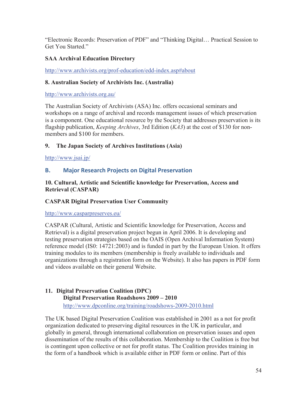"Electronic Records: Preservation of PDF" and "Thinking Digital… Practical Session to Get You Started."

## **SAA Archival Education Directory**

http://www.archivists.org/prof-education/edd-index.asp#about

#### **8. Australian Society of Archivists Inc. (Australia)**

http://www.archivists.org.au/

The Australian Society of Archivists (ASA) Inc. offers occasional seminars and workshops on a range of archival and records management issues of which preservation is a component. One educational resource by the Society that addresses preservation is its flagship publication, *Keeping Archives*, 3rd Edition (*KA3*) at the cost of \$130 for nonmembers and \$100 for members.

#### **9. The Japan Society of Archives Institutions (Asia)**

http://www.jsai.jp/

#### **B. Major Research Projects on Digital Preservation**

#### **10. Cultural, Artistic and Scientific knowledge for Preservation, Access and Retrieval (CASPAR)**

#### **CASPAR Digital Preservation User Community**

http://www.casparpreserves.eu/

CASPAR (Cultural, Artistic and Scientific knowledge for Preservation, Access and Retrieval) is a digital preservation project begun in April 2006. It is developing and testing preservation strategies based on the OAIS (Open Archival Information System) reference model (IS0: 14721:2003) and is funded in part by the European Union. It offers training modules to its members (membership is freely available to individuals and organizations through a registration form on the Website). It also has papers in PDF form and videos available on their general Website.

#### **11. Digital Preservation Coalition (DPC) Digital Preservation Roadshows 2009 – 2010**  http://www.dpconline.org/training/roadshows-2009-2010.html

The UK based Digital Preservation Coalition was established in 2001 as a not for profit organization dedicated to preserving digital resources in the UK in particular, and globally in general, through international collaboration on preservation issues and open dissemination of the results of this collaboration. Membership to the Coalition is free but is contingent upon collective or not for profit status. The Coalition provides training in the form of a handbook which is available either in PDF form or online. Part of this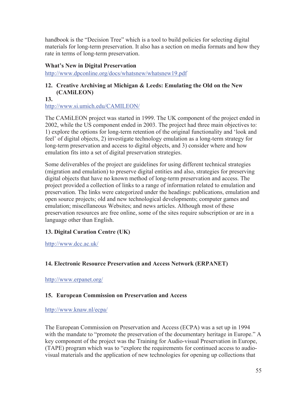handbook is the "Decision Tree" which is a tool to build policies for selecting digital materials for long-term preservation. It also has a section on media formats and how they rate in terms of long-term preservation.

#### **What's New in Digital Preservation**

http://www.dpconline.org/docs/whatsnew/whatsnew19.pdf

#### **12. Creative Archiving at Michigan & Leeds: Emulating the Old on the New (CAMiLEON)**

**13.** http://www.si.umich.edu/CAMILEON/

The CAMiLEON project was started in 1999. The UK component of the project ended in 2002, while the US component ended in 2003. The project had three main objectives to: 1) explore the options for long-term retention of the original functionality and 'look and feel' of digital objects, 2) investigate technology emulation as a long-term strategy for long-term preservation and access to digital objects, and 3) consider where and how emulation fits into a set of digital preservation strategies.

Some deliverables of the project are guidelines for using different technical strategies (migration and emulation) to preserve digital entities and also, strategies for preserving digital objects that have no known method of long-term preservation and access. The project provided a collection of links to a range of information related to emulation and preservation. The links were categorized under the headings: publications, emulation and open source projects; old and new technological developments; computer games and emulation; miscellaneous Websites; and news articles. Although most of these preservation resources are free online, some of the sites require subscription or are in a language other than English.

#### **13. Digital Curation Centre (UK)**

http://www.dcc.ac.uk/

#### **14. Electronic Resource Preservation and Access Network (ERPANET)**

http://www.erpanet.org/

#### **15. European Commission on Preservation and Access**

#### http://www.knaw.nl/ecpa/

The European Commission on Preservation and Access (ECPA) was a set up in 1994 with the mandate to "promote the preservation of the documentary heritage in Europe." A key component of the project was the Training for Audio-visual Preservation in Europe, (TAPE) program which was to "explore the requirements for continued access to audiovisual materials and the application of new technologies for opening up collections that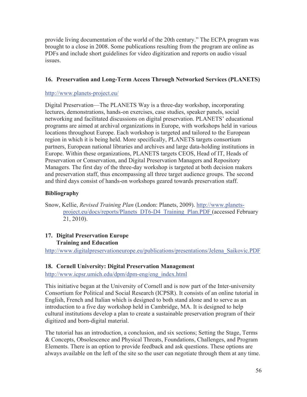provide living documentation of the world of the 20th century." The ECPA program was brought to a close in 2008. Some publications resulting from the program are online as PDFs and include short guidelines for video digitization and reports on audio visual issues.

#### **16. Preservation and Long-Term Access Through Networked Services (PLANETS)**

#### http://www.planets-project.eu/

Digital Preservation—The PLANETS Way is a three-day workshop, incorporating lectures, demonstrations, hands-on exercises, case studies, speaker panels, social networking and facilitated discussions on digital preservation. PLANETS' educational programs are aimed at archival organizations in Europe, with workshops held in various locations throughout Europe. Each workshop is targeted and tailored to the European region in which it is being held. More specifically, PLANETS targets consortium partners, European national libraries and archives and large data-holding institutions in Europe. Within these organizations, PLANETS targets CEOS, Head of IT, Heads of Preservation or Conservation, and Digital Preservation Managers and Repository Managers. The first day of the three-day workshop is targeted at both decision makers and preservation staff, thus encompassing all three target audience groups. The second and third days consist of hands-on workshops geared towards preservation staff.

#### **Bibliography**

Snow, Kellie, *Revised Training Plan* (London: Planets, 2009). http://www.planetsproject.eu/docs/reports/Planets\_DT6-D4\_Training\_Plan.PDF (accessed February 21, 2010).

#### **17. Digital Preservation Europe Training and Education**

http://www.digitalpreservationeurope.eu/publications/presentations/Jelena\_Saikovic.PDF

#### **18. Cornell University: Digital Preservation Management**

http://www.icpsr.umich.edu/dpm/dpm-eng/eng\_index.html

This initiative began at the University of Cornell and is now part of the Inter-university Consortium for Political and Social Research (ICPSR). It consists of an online tutorial in English, French and Italian which is designed to both stand alone and to serve as an introduction to a five day workshop held in Cambridge, MA. It is designed to help cultural institutions develop a plan to create a sustainable preservation program of their digitized and born-digital material.

The tutorial has an introduction, a conclusion, and six sections; Setting the Stage, Terms & Concepts, Obsolescence and Physical Threats, Foundations, Challenges, and Program Elements. There is an option to provide feedback and ask questions. These options are always available on the left of the site so the user can negotiate through them at any time.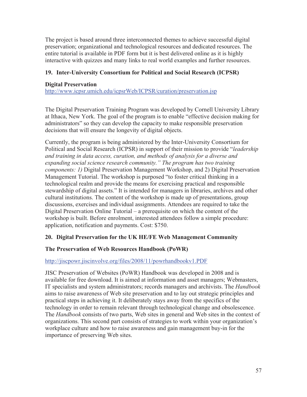The project is based around three interconnected themes to achieve successful digital preservation; organizational and technological resources and dedicated resources. The entire tutorial is available in PDF form but it is best delivered online as it is highly interactive with quizzes and many links to real world examples and further resources.

#### **19. Inter-University Consortium for Political and Social Research (ICPSR)**

#### **Digital Preservation**

http://www.icpsr.umich.edu/icpsrWeb/ICPSR/curation/preservation.jsp

The Digital Preservation Training Program was developed by Cornell University Library at Ithaca, New York. The goal of the program is to enable "effective decision making for administrators" so they can develop the capacity to make responsible preservation decisions that will ensure the longevity of digital objects.

Currently, the program is being administered by the Inter-University Consortium for Political and Social Research (ICPSR) in support of their mission to provide "*leadership and training in data access, curation, and methods of analysis for a diverse and expanding social science research community." The program has two training components: 1)* Digital Preservation Management Workshop, and 2) Digital Preservation Management Tutorial. The workshop is purposed "to foster critical thinking in a technological realm and provide the means for exercising practical and responsible stewardship of digital assets." It is intended for managers in libraries, archives and other cultural institutions. The content of the workshop is made up of presentations, group discussions, exercises and individual assignments. Attendees are required to take the Digital Preservation Online Tutorial – a prerequisite on which the content of the workshop is built. Before enrolment, interested attendees follow a simple procedure: application, notification and payments. Cost: \$750.

#### **20. Digital Preservation for the UK HE/FE Web Management Community**

#### **The Preservation of Web Resources Handbook (PoWR)**

#### http://jiscpowr.jiscinvolve.org/files/2008/11/powrhandbookv1.PDF

JISC Preservation of Websites (PoWR) Handbook was developed in 2008 and is available for free download. It is aimed at information and asset managers; Webmasters, IT specialists and system administrators; records managers and archivists. The *Handbook* aims to raise awareness of Web site preservation and to lay out strategic principles and practical steps in achieving it. It deliberately stays away from the specifics of the technology in order to remain relevant through technological change and obsolescence. The *Handbook* consists of two parts, Web sites in general and Web sites in the context of organizations. This second part consists of strategies to work within your organization's workplace culture and how to raise awareness and gain management buy-in for the importance of preserving Web sites.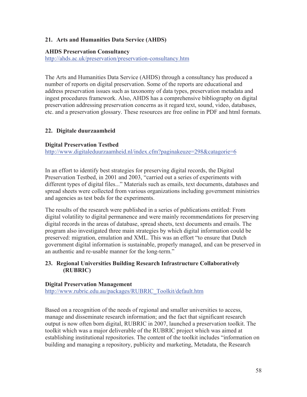#### **21. Arts and Humanities Data Service (AHDS)**

#### **AHDS Preservation Consultancy**

http://ahds.ac.uk/preservation/preservation-consultancy.htm

The Arts and Humanities Data Service (AHDS) through a consultancy has produced a number of reports on digital preservation. Some of the reports are educational and address preservation issues such as taxonomy of data types, preservation metadata and ingest procedures framework. Also, AHDS has a comprehensive bibliography on digital preservation addressing preservation concerns as it regard text, sound, video, databases, etc. and a preservation glossary. These resources are free online in PDF and html formats.

#### **22. Digitale duurzaamheid**

#### **Digital Preservation Testbed**

http://www.digitaleduurzaamheid.nl/index.cfm?paginakeuze=298&catagorie=6

In an effort to identify best strategies for preserving digital records, the Digital Preservation Testbed, in 2001 and 2003, "carried out a series of experiments with different types of digital files..." Materials such as emails, text documents, databases and spread sheets were collected from various organizations including government ministries and agencies as test beds for the experiments.

The results of the research were published in a series of publications entitled: From digital volatility to digital permanence and were mainly recommendations for preserving digital records in the areas of database, spread sheets, text documents and emails. The program also investigated three main strategies by which digital information could be preserved: migration, emulation and XML. This was an effort "to ensure that Dutch government digital information is sustainable, properly managed, and can be preserved in an authentic and re-usable manner for the long-term."

#### **23. Regional Universities Building Research Infrastructure Collaboratively (RUBRIC)**

#### **Digital Preservation Management**

http://www.rubric.edu.au/packages/RUBRIC\_Toolkit/default.htm

Based on a recognition of the needs of regional and smaller universities to access, manage and disseminate research information; and the fact that significant research output is now often born digital, RUBRIC in 2007, launched a preservation toolkit. The toolkit which was a major deliverable of the RUBRIC project which was aimed at establishing institutional repositories. The content of the toolkit includes "information on building and managing a repository, publicity and marketing, Metadata, the Research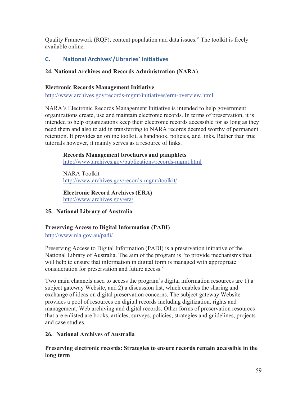Quality Framework (RQF), content population and data issues." The toolkit is freely available online.

## **C. National Archives'/Libraries' Initiatives**

#### **24. National Archives and Records Administration (NARA)**

#### **Electronic Records Management Initiative**

http://www.archives.gov/records-mgmt/initiatives/erm-overview.html

NARA's Electronic Records Management Initiative is intended to help government organizations create, use and maintain electronic records. In terms of preservation, it is intended to help organizations keep their electronic records accessible for as long as they need them and also to aid in transferring to NARA records deemed worthy of permanent retention. It provides an online toolkit, a handbook, policies, and links. Rather than true tutorials however, it mainly serves as a resource of links.

#### **Records Management brochures and pamphlets**

http://www.archives.gov/publications/records-mgmt.html

NARA Toolkit http://www.archives.gov/records-mgmt/toolkit/

**Electronic Record Archives (ERA)**  http://www.archives.gov/era/

## **25. National Library of Australia**

## **Preserving Access to Digital Information (PADI)**

http://www.nla.gov.au/padi/

Preserving Access to Digital Information (PADI) is a preservation initiative of the National Library of Australia. The aim of the program is "to provide mechanisms that will help to ensure that information in digital form is managed with appropriate consideration for preservation and future access."

Two main channels used to access the program's digital information resources are 1) a subject gateway Website, and 2) a discussion list, which enables the sharing and exchange of ideas on digital preservation concerns. The subject gateway Website provides a pool of resources on digital records including digitization, rights and management, Web archiving and digital records. Other forms of preservation resources that are enlisted are books, articles, surveys, policies, strategies and guidelines, projects and case studies.

## **26. National Archives of Australia**

**Preserving electronic records: Strategies to ensure records remain accessible in the long term**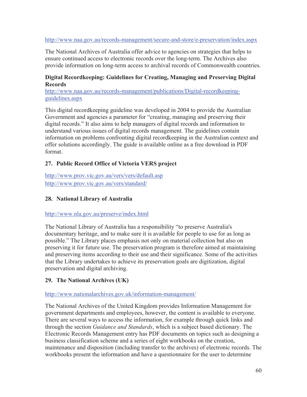#### http://www.naa.gov.au/records-management/secure-and-store/e-preservation/index.aspx

The National Archives of Australia offer advice to agencies on strategies that helps to ensure continued access to electronic records over the long-term. The Archives also provide information on long-term access to archival records of Commonwealth countries.

#### **Digital Recordkeeping: Guidelines for Creating, Managing and Preserving Digital Records**

http://www.naa.gov.au/records-management/publications/Digital-recordkeepingguidelines.aspx

This digital recordkeeping guideline was developed in 2004 to provide the Australian Government and agencies a parameter for "creating, managing and preserving their digital records." It also aims to help managers of digital records and information to understand various issues of digital records management. The guidelines contain information on problems confronting digital recordkeeping in the Australian context and offer solutions accordingly. The guide is available online as a free download in PDF format.

#### **27. Public Record Office of Victoria VERS project**

http://www.prov.vic.gov.au/vers/vers/default.asp http://www.prov.vic.gov.au/vers/standard/

#### **28. National Library of Australia**

#### http://www.nla.gov.au/preserve/index.html

The National Library of Australia has a responsibility "to preserve Australia's documentary heritage, and to make sure it is available for people to use for as long as possible." The Library places emphasis not only on material collection but also on preserving it for future use. The preservation program is therefore aimed at maintaining and preserving items according to their use and their significance. Some of the activities that the Library undertakes to achieve its preservation goals are digitization, digital preservation and digital archiving.

#### **29. The National Archives (UK)**

#### http://www.nationalarchives.gov.uk/information-management/

The National Archives of the United Kingdom provides Information Management for government departments and employees, however, the content is available to everyone. There are several ways to access the information, for example through quick links and through the section *Guidance and Standards*, which is a subject based dictionary. The Electronic Records Management entry has PDF documents on topics such as designing a business classification scheme and a series of eight workbooks on the creation, maintenance and disposition (including transfer to the archives) of electronic records. The workbooks present the information and have a questionnaire for the user to determine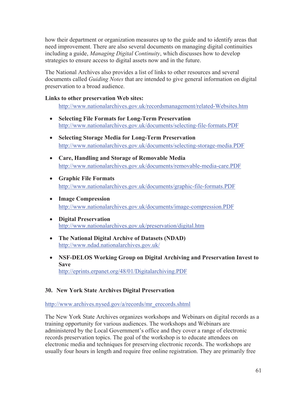how their department or organization measures up to the guide and to identify areas that need improvement. There are also several documents on managing digital continuities including a guide, *Managing Digital Continuity*, which discusses how to develop strategies to ensure access to digital assets now and in the future.

The National Archives also provides a list of links to other resources and several documents called *Guiding Notes* that are intended to give general information on digital preservation to a broad audience.

#### **Links to other preservation Web sites:**

http://www.nationalarchives.gov.uk/recordsmanagement/related-Websites.htm

- x **Selecting File Formats for Long-Term Preservation**  http://www.nationalarchives.gov.uk/documents/selecting-file-formats.PDF
- x **Selecting Storage Media for Long-Term Preservation**  http://www.nationalarchives.gov.uk/documents/selecting-storage-media.PDF
- x **Care, Handling and Storage of Removable Media**  http://www.nationalarchives.gov.uk/documents/removable-media-care.PDF
- x **Graphic File Formats**  http://www.nationalarchives.gov.uk/documents/graphic-file-formats.PDF
- x **Image Compression**  http://www.nationalarchives.gov.uk/documents/image-compression.PDF
- **•** Digital Preservation http://www.nationalarchives.gov.uk/preservation/digital.htm
- x **The National Digital Archive of Datasets (NDAD)**  http://www.ndad.nationalarchives.gov.uk/
- x **NSF-DELOS Working Group on Digital Archiving and Preservation Invest to Save**  http://eprints.erpanet.org/48/01/Digitalarchiving.PDF

#### **30. New York State Archives Digital Preservation**

http://www.archives.nysed.gov/a/records/mr\_erecords.shtml

The New York State Archives organizes workshops and Webinars on digital records as a training opportunity for various audiences. The workshops and Webinars are administered by the Local Government's office and they cover a range of electronic records preservation topics. The goal of the workshop is to educate attendees on electronic media and techniques for preserving electronic records. The workshops are usually four hours in length and require free online registration. They are primarily free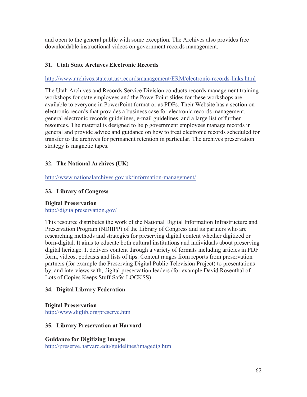and open to the general public with some exception. The Archives also provides free downloadable instructional videos on government records management.

#### **31. Utah State Archives Electronic Records**

#### http://www.archives.state.ut.us/recordsmanagement/ERM/electronic-records-links.html

The Utah Archives and Records Service Division conducts records management training workshops for state employees and the PowerPoint slides for these workshops are available to everyone in PowerPoint format or as PDFs. Their Website has a section on electronic records that provides a business case for electronic records management, general electronic records guidelines, e-mail guidelines, and a large list of further resources. The material is designed to help government employees manage records in general and provide advice and guidance on how to treat electronic records scheduled for transfer to the archives for permanent retention in particular. The archives preservation strategy is magnetic tapes.

#### **32. The National Archives (UK)**

http://www.nationalarchives.gov.uk/information-management/

#### **33. Library of Congress**

#### **Digital Preservation**

http://digitalpreservation.gov/

This resource distributes the work of the National Digital Information Infrastructure and Preservation Program (NDIIPP) of the Library of Congress and its partners who are researching methods and strategies for preserving digital content whether digitized or born-digital. It aims to educate both cultural institutions and individuals about preserving digital heritage. It delivers content through a variety of formats including articles in PDF form, videos, podcasts and lists of tips. Content ranges from reports from preservation partners (for example the Preserving Digital Public Television Project) to presentations by, and interviews with, digital preservation leaders (for example David Rosenthal of Lots of Copies Keeps Stuff Safe: LOCKSS).

#### **34. Digital Library Federation**

#### **Digital Preservation**

http://www.diglib.org/preserve.htm

#### **35. Library Preservation at Harvard**

**Guidance for Digitizing Images**  http://preserve.harvard.edu/guidelines/imagedig.html